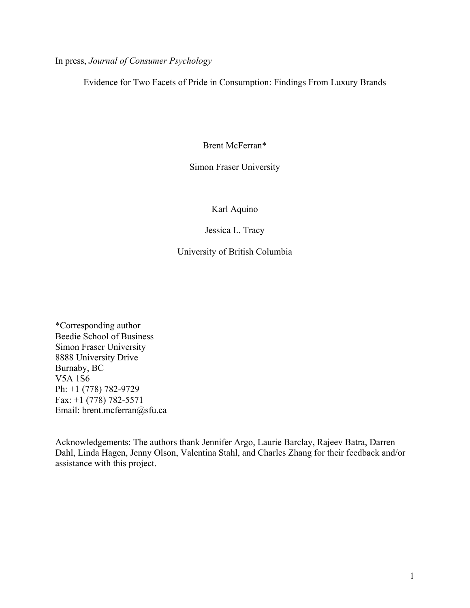In press, *Journal of Consumer Psychology*

Evidence for Two Facets of Pride in Consumption: Findings From Luxury Brands

Brent McFerran\*

# Simon Fraser University

Karl Aquino

Jessica L. Tracy

# University of British Columbia

\*Corresponding author Beedie School of Business Simon Fraser University 8888 University Drive Burnaby, BC V5A 1S6 Ph: +1 (778) 782-9729 Fax: +1 (778) 782-5571 Email: brent.mcferran@sfu.ca

Acknowledgements: The authors thank Jennifer Argo, Laurie Barclay, Rajeev Batra, Darren Dahl, Linda Hagen, Jenny Olson, Valentina Stahl, and Charles Zhang for their feedback and/or assistance with this project.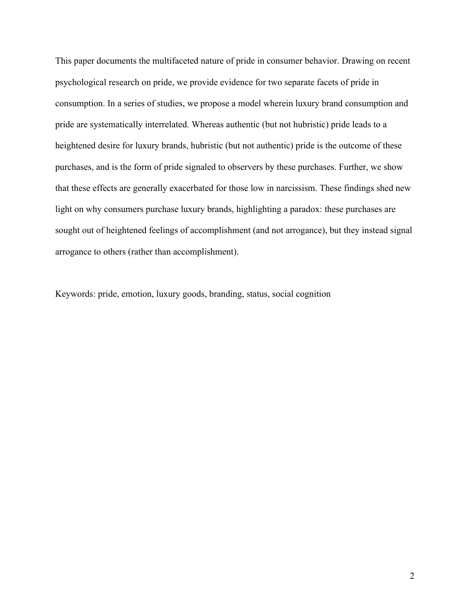This paper documents the multifaceted nature of pride in consumer behavior. Drawing on recent psychological research on pride, we provide evidence for two separate facets of pride in consumption. In a series of studies, we propose a model wherein luxury brand consumption and pride are systematically interrelated. Whereas authentic (but not hubristic) pride leads to a heightened desire for luxury brands, hubristic (but not authentic) pride is the outcome of these purchases, and is the form of pride signaled to observers by these purchases. Further, we show that these effects are generally exacerbated for those low in narcissism. These findings shed new light on why consumers purchase luxury brands, highlighting a paradox: these purchases are sought out of heightened feelings of accomplishment (and not arrogance), but they instead signal arrogance to others (rather than accomplishment).

Keywords: pride, emotion, luxury goods, branding, status, social cognition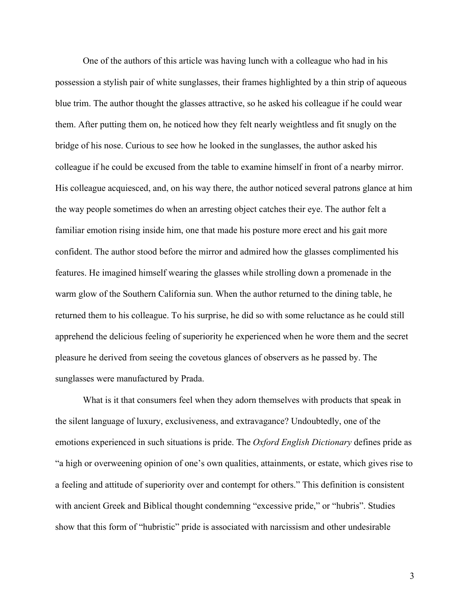One of the authors of this article was having lunch with a colleague who had in his possession a stylish pair of white sunglasses, their frames highlighted by a thin strip of aqueous blue trim. The author thought the glasses attractive, so he asked his colleague if he could wear them. After putting them on, he noticed how they felt nearly weightless and fit snugly on the bridge of his nose. Curious to see how he looked in the sunglasses, the author asked his colleague if he could be excused from the table to examine himself in front of a nearby mirror. His colleague acquiesced, and, on his way there, the author noticed several patrons glance at him the way people sometimes do when an arresting object catches their eye. The author felt a familiar emotion rising inside him, one that made his posture more erect and his gait more confident. The author stood before the mirror and admired how the glasses complimented his features. He imagined himself wearing the glasses while strolling down a promenade in the warm glow of the Southern California sun. When the author returned to the dining table, he returned them to his colleague. To his surprise, he did so with some reluctance as he could still apprehend the delicious feeling of superiority he experienced when he wore them and the secret pleasure he derived from seeing the covetous glances of observers as he passed by. The sunglasses were manufactured by Prada.

What is it that consumers feel when they adorn themselves with products that speak in the silent language of luxury, exclusiveness, and extravagance? Undoubtedly, one of the emotions experienced in such situations is pride. The *Oxford English Dictionary* defines pride as "a high or overweening opinion of one's own qualities, attainments, or estate, which gives rise to a feeling and attitude of superiority over and contempt for others." This definition is consistent with ancient Greek and Biblical thought condemning "excessive pride," or "hubris". Studies show that this form of "hubristic" pride is associated with narcissism and other undesirable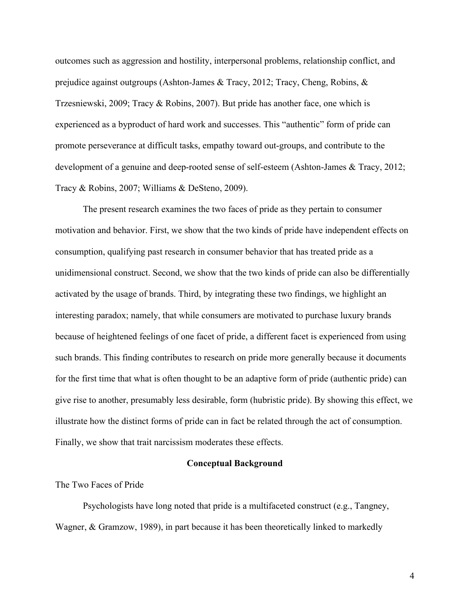outcomes such as aggression and hostility, interpersonal problems, relationship conflict, and prejudice against outgroups (Ashton-James & Tracy, 2012; Tracy, Cheng, Robins, & Trzesniewski, 2009; Tracy & Robins, 2007). But pride has another face, one which is experienced as a byproduct of hard work and successes. This "authentic" form of pride can promote perseverance at difficult tasks, empathy toward out-groups, and contribute to the development of a genuine and deep-rooted sense of self-esteem (Ashton-James & Tracy, 2012; Tracy & Robins, 2007; Williams & DeSteno, 2009).

The present research examines the two faces of pride as they pertain to consumer motivation and behavior. First, we show that the two kinds of pride have independent effects on consumption, qualifying past research in consumer behavior that has treated pride as a unidimensional construct. Second, we show that the two kinds of pride can also be differentially activated by the usage of brands. Third, by integrating these two findings, we highlight an interesting paradox; namely, that while consumers are motivated to purchase luxury brands because of heightened feelings of one facet of pride, a different facet is experienced from using such brands. This finding contributes to research on pride more generally because it documents for the first time that what is often thought to be an adaptive form of pride (authentic pride) can give rise to another, presumably less desirable, form (hubristic pride). By showing this effect, we illustrate how the distinct forms of pride can in fact be related through the act of consumption. Finally, we show that trait narcissism moderates these effects.

# **Conceptual Background**

The Two Faces of Pride

Psychologists have long noted that pride is a multifaceted construct (e.g., Tangney, Wagner, & Gramzow, 1989), in part because it has been theoretically linked to markedly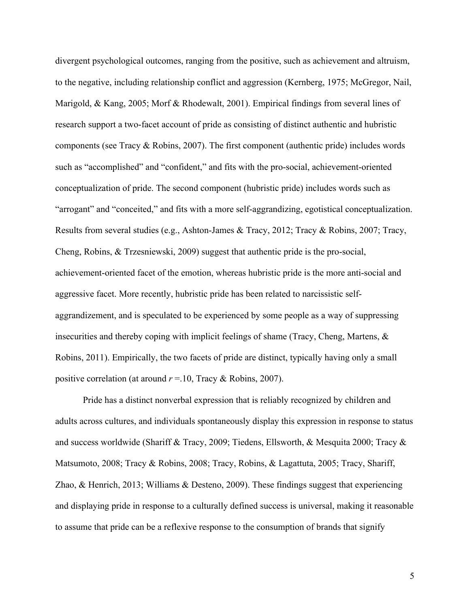divergent psychological outcomes, ranging from the positive, such as achievement and altruism, to the negative, including relationship conflict and aggression (Kernberg, 1975; McGregor, Nail, Marigold, & Kang, 2005; Morf & Rhodewalt, 2001). Empirical findings from several lines of research support a two-facet account of pride as consisting of distinct authentic and hubristic components (see Tracy & Robins, 2007). The first component (authentic pride) includes words such as "accomplished" and "confident," and fits with the pro-social, achievement-oriented conceptualization of pride. The second component (hubristic pride) includes words such as "arrogant" and "conceited," and fits with a more self-aggrandizing, egotistical conceptualization. Results from several studies (e.g., Ashton-James & Tracy, 2012; Tracy & Robins, 2007; Tracy, Cheng, Robins, & Trzesniewski, 2009) suggest that authentic pride is the pro-social, achievement-oriented facet of the emotion, whereas hubristic pride is the more anti-social and aggressive facet. More recently, hubristic pride has been related to narcissistic selfaggrandizement, and is speculated to be experienced by some people as a way of suppressing insecurities and thereby coping with implicit feelings of shame (Tracy, Cheng, Martens, & Robins, 2011). Empirically, the two facets of pride are distinct, typically having only a small positive correlation (at around *r* =.10, Tracy & Robins, 2007).

Pride has a distinct nonverbal expression that is reliably recognized by children and adults across cultures, and individuals spontaneously display this expression in response to status and success worldwide (Shariff & Tracy, 2009; Tiedens, Ellsworth, & Mesquita 2000; Tracy & Matsumoto, 2008; Tracy & Robins, 2008; Tracy, Robins, & Lagattuta, 2005; Tracy, Shariff, Zhao, & Henrich, 2013; Williams & Desteno, 2009). These findings suggest that experiencing and displaying pride in response to a culturally defined success is universal, making it reasonable to assume that pride can be a reflexive response to the consumption of brands that signify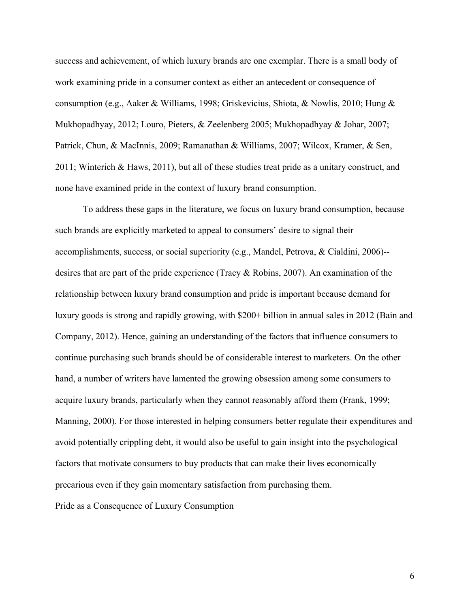success and achievement, of which luxury brands are one exemplar. There is a small body of work examining pride in a consumer context as either an antecedent or consequence of consumption (e.g., Aaker & Williams, 1998; Griskevicius, Shiota, & Nowlis, 2010; Hung & Mukhopadhyay, 2012; Louro, Pieters, & Zeelenberg 2005; Mukhopadhyay & Johar, 2007; Patrick, Chun, & MacInnis, 2009; Ramanathan & Williams, 2007; Wilcox, Kramer, & Sen, 2011; Winterich & Haws, 2011), but all of these studies treat pride as a unitary construct, and none have examined pride in the context of luxury brand consumption.

To address these gaps in the literature, we focus on luxury brand consumption, because such brands are explicitly marketed to appeal to consumers' desire to signal their accomplishments, success, or social superiority (e.g., Mandel, Petrova, & Cialdini, 2006)- desires that are part of the pride experience (Tracy & Robins, 2007). An examination of the relationship between luxury brand consumption and pride is important because demand for luxury goods is strong and rapidly growing, with \$200+ billion in annual sales in 2012 (Bain and Company, 2012). Hence, gaining an understanding of the factors that influence consumers to continue purchasing such brands should be of considerable interest to marketers. On the other hand, a number of writers have lamented the growing obsession among some consumers to acquire luxury brands, particularly when they cannot reasonably afford them (Frank, 1999; Manning, 2000). For those interested in helping consumers better regulate their expenditures and avoid potentially crippling debt, it would also be useful to gain insight into the psychological factors that motivate consumers to buy products that can make their lives economically precarious even if they gain momentary satisfaction from purchasing them. Pride as a Consequence of Luxury Consumption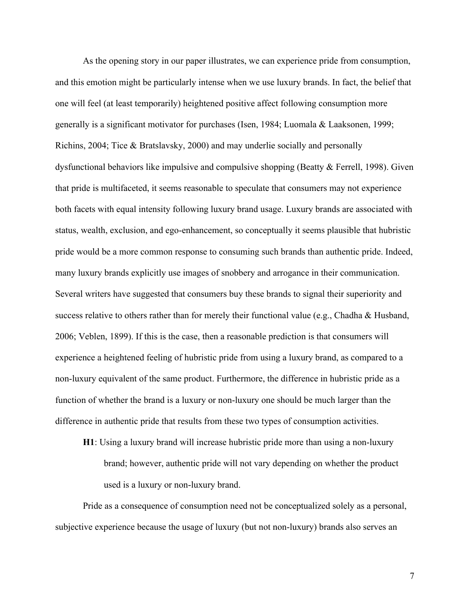As the opening story in our paper illustrates, we can experience pride from consumption, and this emotion might be particularly intense when we use luxury brands. In fact, the belief that one will feel (at least temporarily) heightened positive affect following consumption more generally is a significant motivator for purchases (Isen, 1984; Luomala & Laaksonen, 1999; Richins, 2004; Tice & Bratslavsky, 2000) and may underlie socially and personally dysfunctional behaviors like impulsive and compulsive shopping (Beatty & Ferrell, 1998). Given that pride is multifaceted, it seems reasonable to speculate that consumers may not experience both facets with equal intensity following luxury brand usage. Luxury brands are associated with status, wealth, exclusion, and ego-enhancement, so conceptually it seems plausible that hubristic pride would be a more common response to consuming such brands than authentic pride. Indeed, many luxury brands explicitly use images of snobbery and arrogance in their communication. Several writers have suggested that consumers buy these brands to signal their superiority and success relative to others rather than for merely their functional value (e.g., Chadha & Husband, 2006; Veblen, 1899). If this is the case, then a reasonable prediction is that consumers will experience a heightened feeling of hubristic pride from using a luxury brand, as compared to a non-luxury equivalent of the same product. Furthermore, the difference in hubristic pride as a function of whether the brand is a luxury or non-luxury one should be much larger than the difference in authentic pride that results from these two types of consumption activities.

**H1**: Using a luxury brand will increase hubristic pride more than using a non-luxury brand; however, authentic pride will not vary depending on whether the product used is a luxury or non-luxury brand.

Pride as a consequence of consumption need not be conceptualized solely as a personal, subjective experience because the usage of luxury (but not non-luxury) brands also serves an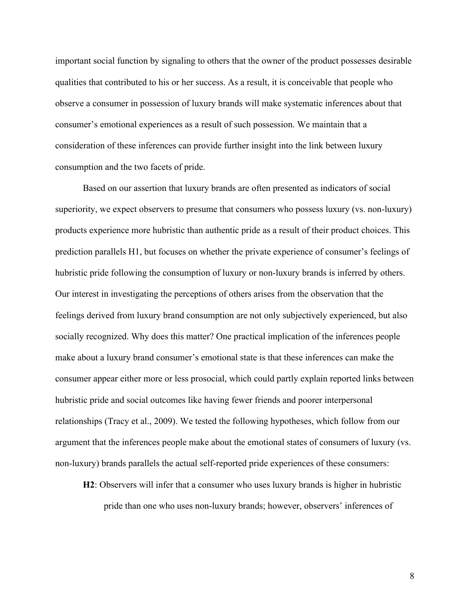important social function by signaling to others that the owner of the product possesses desirable qualities that contributed to his or her success. As a result, it is conceivable that people who observe a consumer in possession of luxury brands will make systematic inferences about that consumer's emotional experiences as a result of such possession. We maintain that a consideration of these inferences can provide further insight into the link between luxury consumption and the two facets of pride.

Based on our assertion that luxury brands are often presented as indicators of social superiority, we expect observers to presume that consumers who possess luxury (vs. non-luxury) products experience more hubristic than authentic pride as a result of their product choices. This prediction parallels H1, but focuses on whether the private experience of consumer's feelings of hubristic pride following the consumption of luxury or non-luxury brands is inferred by others. Our interest in investigating the perceptions of others arises from the observation that the feelings derived from luxury brand consumption are not only subjectively experienced, but also socially recognized. Why does this matter? One practical implication of the inferences people make about a luxury brand consumer's emotional state is that these inferences can make the consumer appear either more or less prosocial, which could partly explain reported links between hubristic pride and social outcomes like having fewer friends and poorer interpersonal relationships (Tracy et al., 2009). We tested the following hypotheses, which follow from our argument that the inferences people make about the emotional states of consumers of luxury (vs. non-luxury) brands parallels the actual self-reported pride experiences of these consumers:

**H2**: Observers will infer that a consumer who uses luxury brands is higher in hubristic

pride than one who uses non-luxury brands; however, observers' inferences of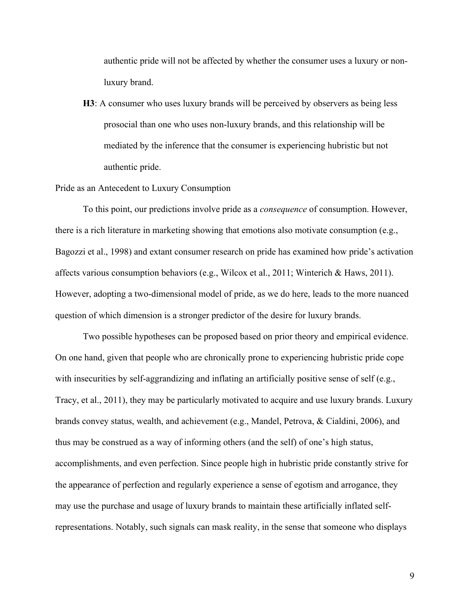authentic pride will not be affected by whether the consumer uses a luxury or nonluxury brand.

**H3**: A consumer who uses luxury brands will be perceived by observers as being less prosocial than one who uses non-luxury brands, and this relationship will be mediated by the inference that the consumer is experiencing hubristic but not authentic pride.

#### Pride as an Antecedent to Luxury Consumption

To this point, our predictions involve pride as a *consequence* of consumption. However, there is a rich literature in marketing showing that emotions also motivate consumption (e.g., Bagozzi et al., 1998) and extant consumer research on pride has examined how pride's activation affects various consumption behaviors (e.g., Wilcox et al., 2011; Winterich & Haws, 2011). However, adopting a two-dimensional model of pride, as we do here, leads to the more nuanced question of which dimension is a stronger predictor of the desire for luxury brands.

Two possible hypotheses can be proposed based on prior theory and empirical evidence. On one hand, given that people who are chronically prone to experiencing hubristic pride cope with insecurities by self-aggrandizing and inflating an artificially positive sense of self (e.g., Tracy, et al., 2011), they may be particularly motivated to acquire and use luxury brands. Luxury brands convey status, wealth, and achievement (e.g., Mandel, Petrova, & Cialdini, 2006), and thus may be construed as a way of informing others (and the self) of one's high status, accomplishments, and even perfection. Since people high in hubristic pride constantly strive for the appearance of perfection and regularly experience a sense of egotism and arrogance, they may use the purchase and usage of luxury brands to maintain these artificially inflated selfrepresentations. Notably, such signals can mask reality, in the sense that someone who displays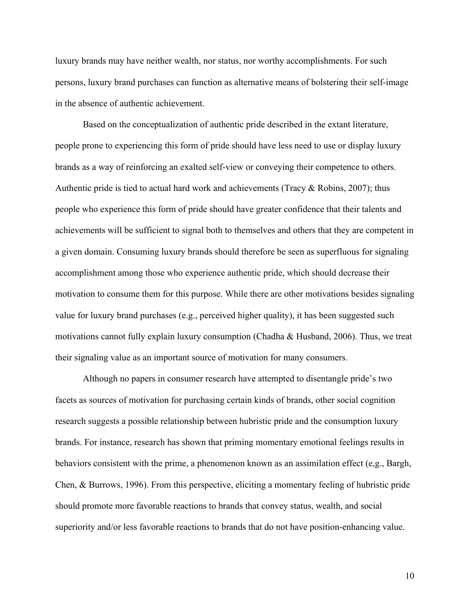luxury brands may have neither wealth, nor status, nor worthy accomplishments. For such persons, luxury brand purchases can function as alternative means of bolstering their self-image in the absence of authentic achievement.

Based on the conceptualization of authentic pride described in the extant literature, people prone to experiencing this form of pride should have less need to use or display luxury brands as a way of reinforcing an exalted self-view or conveying their competence to others. Authentic pride is tied to actual hard work and achievements (Tracy  $\&$  Robins, 2007); thus people who experience this form of pride should have greater confidence that their talents and achievements will be sufficient to signal both to themselves and others that they are competent in a given domain. Consuming luxury brands should therefore be seen as superfluous for signaling accomplishment among those who experience authentic pride, which should decrease their motivation to consume them for this purpose. While there are other motivations besides signaling value for luxury brand purchases (e.g., perceived higher quality), it has been suggested such motivations cannot fully explain luxury consumption (Chadha  $\&$  Husband, 2006). Thus, we treat their signaling value as an important source of motivation for many consumers.

Although no papers in consumer research have attempted to disentangle pride's two facets as sources of motivation for purchasing certain kinds of brands, other social cognition research suggests a possible relationship between hubristic pride and the consumption luxury brands. For instance, research has shown that priming momentary emotional feelings results in behaviors consistent with the prime, a phenomenon known as an assimilation effect (e,g., Bargh, Chen, & Burrows, 1996). From this perspective, eliciting a momentary feeling of hubristic pride should promote more favorable reactions to brands that convey status, wealth, and social superiority and/or less favorable reactions to brands that do not have position-enhancing value.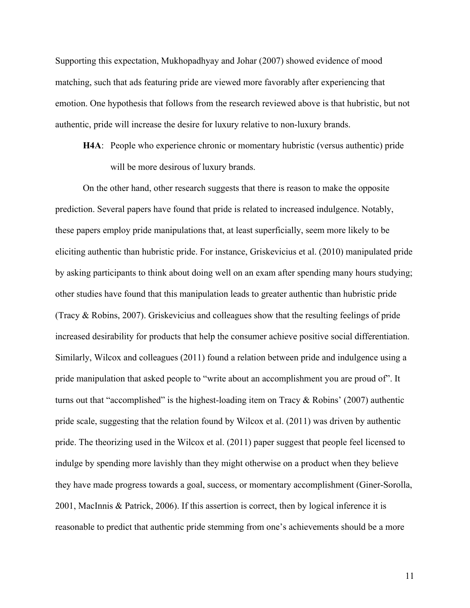Supporting this expectation, Mukhopadhyay and Johar (2007) showed evidence of mood matching, such that ads featuring pride are viewed more favorably after experiencing that emotion. One hypothesis that follows from the research reviewed above is that hubristic, but not authentic, pride will increase the desire for luxury relative to non-luxury brands.

**H4A**: People who experience chronic or momentary hubristic (versus authentic) pride will be more desirous of luxury brands.

On the other hand, other research suggests that there is reason to make the opposite prediction. Several papers have found that pride is related to increased indulgence. Notably, these papers employ pride manipulations that, at least superficially, seem more likely to be eliciting authentic than hubristic pride. For instance, Griskevicius et al. (2010) manipulated pride by asking participants to think about doing well on an exam after spending many hours studying; other studies have found that this manipulation leads to greater authentic than hubristic pride (Tracy & Robins, 2007). Griskevicius and colleagues show that the resulting feelings of pride increased desirability for products that help the consumer achieve positive social differentiation. Similarly, Wilcox and colleagues (2011) found a relation between pride and indulgence using a pride manipulation that asked people to "write about an accomplishment you are proud of". It turns out that "accomplished" is the highest-loading item on Tracy & Robins' (2007) authentic pride scale, suggesting that the relation found by Wilcox et al. (2011) was driven by authentic pride. The theorizing used in the Wilcox et al. (2011) paper suggest that people feel licensed to indulge by spending more lavishly than they might otherwise on a product when they believe they have made progress towards a goal, success, or momentary accomplishment (Giner-Sorolla, 2001, MacInnis & Patrick, 2006). If this assertion is correct, then by logical inference it is reasonable to predict that authentic pride stemming from one's achievements should be a more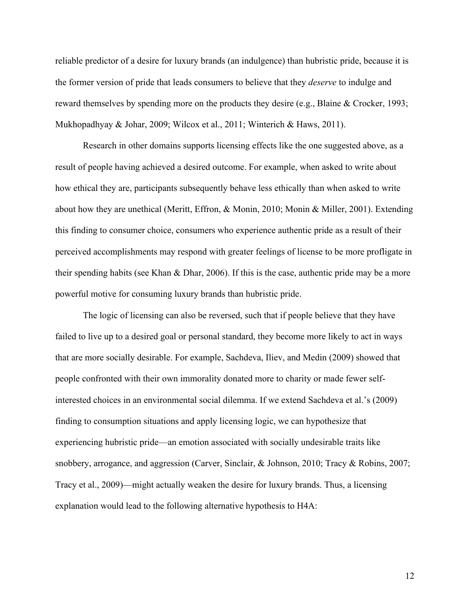reliable predictor of a desire for luxury brands (an indulgence) than hubristic pride, because it is the former version of pride that leads consumers to believe that they *deserve* to indulge and reward themselves by spending more on the products they desire (e.g., Blaine & Crocker, 1993; Mukhopadhyay & Johar, 2009; Wilcox et al., 2011; Winterich & Haws, 2011).

Research in other domains supports licensing effects like the one suggested above, as a result of people having achieved a desired outcome. For example, when asked to write about how ethical they are, participants subsequently behave less ethically than when asked to write about how they are unethical (Meritt, Effron, & Monin, 2010; Monin & Miller, 2001). Extending this finding to consumer choice, consumers who experience authentic pride as a result of their perceived accomplishments may respond with greater feelings of license to be more profligate in their spending habits (see Khan & Dhar, 2006). If this is the case, authentic pride may be a more powerful motive for consuming luxury brands than hubristic pride.

The logic of licensing can also be reversed, such that if people believe that they have failed to live up to a desired goal or personal standard, they become more likely to act in ways that are more socially desirable. For example, Sachdeva, Iliev, and Medin (2009) showed that people confronted with their own immorality donated more to charity or made fewer selfinterested choices in an environmental social dilemma. If we extend Sachdeva et al.'s (2009) finding to consumption situations and apply licensing logic, we can hypothesize that experiencing hubristic pride—an emotion associated with socially undesirable traits like snobbery, arrogance, and aggression (Carver, Sinclair, & Johnson, 2010; Tracy & Robins, 2007; Tracy et al., 2009)—might actually weaken the desire for luxury brands. Thus, a licensing explanation would lead to the following alternative hypothesis to H4A: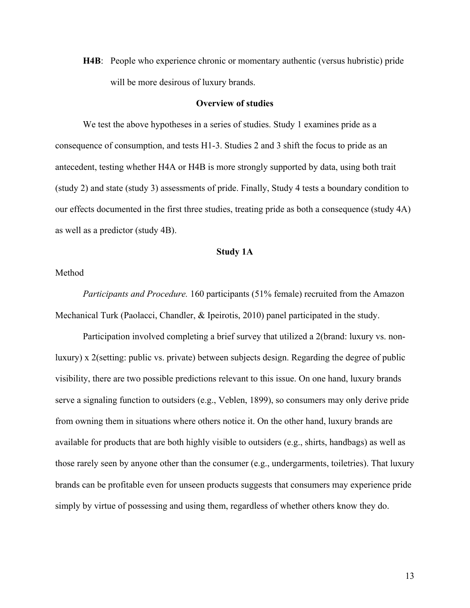**H4B**: People who experience chronic or momentary authentic (versus hubristic) pride will be more desirous of luxury brands.

#### **Overview of studies**

We test the above hypotheses in a series of studies. Study 1 examines pride as a consequence of consumption, and tests H1-3. Studies 2 and 3 shift the focus to pride as an antecedent, testing whether H4A or H4B is more strongly supported by data, using both trait (study 2) and state (study 3) assessments of pride. Finally, Study 4 tests a boundary condition to our effects documented in the first three studies, treating pride as both a consequence (study 4A) as well as a predictor (study 4B).

# **Study 1A**

#### Method

*Participants and Procedure.* 160 participants (51% female) recruited from the Amazon Mechanical Turk (Paolacci, Chandler, & Ipeirotis, 2010) panel participated in the study.

Participation involved completing a brief survey that utilized a 2(brand: luxury vs. nonluxury) x 2(setting: public vs. private) between subjects design. Regarding the degree of public visibility, there are two possible predictions relevant to this issue. On one hand, luxury brands serve a signaling function to outsiders (e.g., Veblen, 1899), so consumers may only derive pride from owning them in situations where others notice it. On the other hand, luxury brands are available for products that are both highly visible to outsiders (e.g., shirts, handbags) as well as those rarely seen by anyone other than the consumer (e.g., undergarments, toiletries). That luxury brands can be profitable even for unseen products suggests that consumers may experience pride simply by virtue of possessing and using them, regardless of whether others know they do.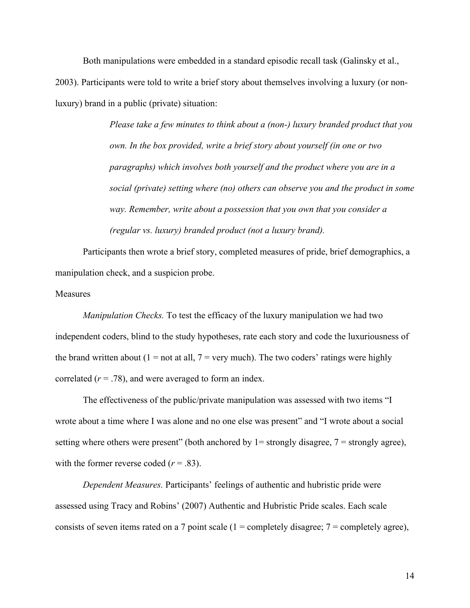Both manipulations were embedded in a standard episodic recall task (Galinsky et al., 2003). Participants were told to write a brief story about themselves involving a luxury (or nonluxury) brand in a public (private) situation:

> *Please take a few minutes to think about a (non-) luxury branded product that you own. In the box provided, write a brief story about yourself (in one or two paragraphs) which involves both yourself and the product where you are in a social (private) setting where (no) others can observe you and the product in some way. Remember, write about a possession that you own that you consider a (regular vs. luxury) branded product (not a luxury brand).*

Participants then wrote a brief story, completed measures of pride, brief demographics, a manipulation check, and a suspicion probe.

# **Measures**

*Manipulation Checks.* To test the efficacy of the luxury manipulation we had two independent coders, blind to the study hypotheses, rate each story and code the luxuriousness of the brand written about (1 = not at all, 7 = very much). The two coders' ratings were highly correlated  $(r = .78)$ , and were averaged to form an index.

The effectiveness of the public/private manipulation was assessed with two items "I wrote about a time where I was alone and no one else was present" and "I wrote about a social setting where others were present" (both anchored by  $1 =$  strongly disagree,  $7 =$  strongly agree), with the former reverse coded  $(r = .83)$ .

*Dependent Measures.* Participants' feelings of authentic and hubristic pride were assessed using Tracy and Robins' (2007) Authentic and Hubristic Pride scales. Each scale consists of seven items rated on a 7 point scale  $(1 = \text{completely disagree}; 7 = \text{completely agree})$ ,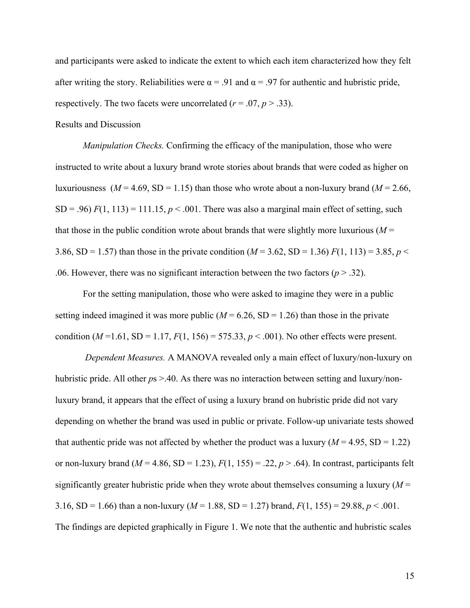and participants were asked to indicate the extent to which each item characterized how they felt after writing the story. Reliabilities were  $\alpha$  = .91 and  $\alpha$  = .97 for authentic and hubristic pride, respectively. The two facets were uncorrelated  $(r = .07, p > .33)$ .

# Results and Discussion

*Manipulation Checks.* Confirming the efficacy of the manipulation, those who were instructed to write about a luxury brand wrote stories about brands that were coded as higher on luxuriousness ( $M = 4.69$ , SD = 1.15) than those who wrote about a non-luxury brand ( $M = 2.66$ ,  $SD = .96$ )  $F(1, 113) = 111.15$ ,  $p < .001$ . There was also a marginal main effect of setting, such that those in the public condition wrote about brands that were slightly more luxurious ( $M =$ 3.86, SD = 1.57) than those in the private condition ( $M = 3.62$ , SD = 1.36)  $F(1, 113) = 3.85$ ,  $p <$ .06. However, there was no significant interaction between the two factors  $(p > .32)$ .

For the setting manipulation, those who were asked to imagine they were in a public setting indeed imagined it was more public  $(M = 6.26, SD = 1.26)$  than those in the private condition  $(M=1.61, SD=1.17, F(1, 156) = 575.33, p < .001$ ). No other effects were present.

*Dependent Measures.* A MANOVA revealed only a main effect of luxury/non-luxury on hubristic pride. All other  $ps > 40$ . As there was no interaction between setting and luxury/nonluxury brand, it appears that the effect of using a luxury brand on hubristic pride did not vary depending on whether the brand was used in public or private. Follow-up univariate tests showed that authentic pride was not affected by whether the product was a luxury  $(M = 4.95, SD = 1.22)$ or non-luxury brand  $(M = 4.86, SD = 1.23)$ ,  $F(1, 155) = .22$ ,  $p > .64$ ). In contrast, participants felt significantly greater hubristic pride when they wrote about themselves consuming a luxury  $(M =$ 3.16, SD = 1.66) than a non-luxury ( $M = 1.88$ , SD = 1.27) brand,  $F(1, 155) = 29.88$ ,  $p < .001$ . The findings are depicted graphically in Figure 1. We note that the authentic and hubristic scales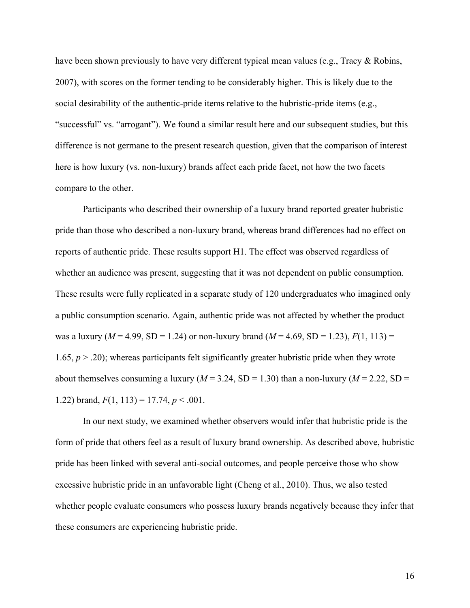have been shown previously to have very different typical mean values (e.g., Tracy & Robins, 2007), with scores on the former tending to be considerably higher. This is likely due to the social desirability of the authentic-pride items relative to the hubristic-pride items (e.g., "successful" vs. "arrogant"). We found a similar result here and our subsequent studies, but this difference is not germane to the present research question, given that the comparison of interest here is how luxury (vs. non-luxury) brands affect each pride facet, not how the two facets compare to the other.

Participants who described their ownership of a luxury brand reported greater hubristic pride than those who described a non-luxury brand, whereas brand differences had no effect on reports of authentic pride. These results support H1. The effect was observed regardless of whether an audience was present, suggesting that it was not dependent on public consumption. These results were fully replicated in a separate study of 120 undergraduates who imagined only a public consumption scenario. Again, authentic pride was not affected by whether the product was a luxury ( $M = 4.99$ ,  $SD = 1.24$ ) or non-luxury brand ( $M = 4.69$ ,  $SD = 1.23$ ),  $F(1, 113) =$ 1.65,  $p > 0.20$ ; whereas participants felt significantly greater hubristic pride when they wrote about themselves consuming a luxury ( $M = 3.24$ , SD = 1.30) than a non-luxury ( $M = 2.22$ , SD = 1.22) brand,  $F(1, 113) = 17.74$ ,  $p < .001$ .

In our next study, we examined whether observers would infer that hubristic pride is the form of pride that others feel as a result of luxury brand ownership. As described above, hubristic pride has been linked with several anti-social outcomes, and people perceive those who show excessive hubristic pride in an unfavorable light (Cheng et al., 2010). Thus, we also tested whether people evaluate consumers who possess luxury brands negatively because they infer that these consumers are experiencing hubristic pride.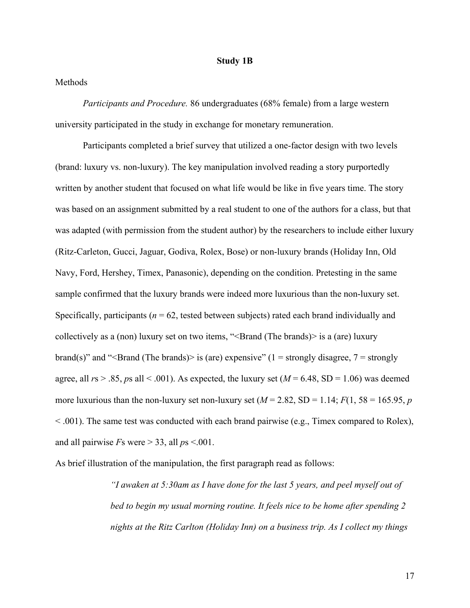#### **Study 1B**

# Methods

*Participants and Procedure.* 86 undergraduates (68% female) from a large western university participated in the study in exchange for monetary remuneration.

Participants completed a brief survey that utilized a one-factor design with two levels (brand: luxury vs. non-luxury). The key manipulation involved reading a story purportedly written by another student that focused on what life would be like in five years time. The story was based on an assignment submitted by a real student to one of the authors for a class, but that was adapted (with permission from the student author) by the researchers to include either luxury (Ritz-Carleton, Gucci, Jaguar, Godiva, Rolex, Bose) or non-luxury brands (Holiday Inn, Old Navy, Ford, Hershey, Timex, Panasonic), depending on the condition. Pretesting in the same sample confirmed that the luxury brands were indeed more luxurious than the non-luxury set. Specifically, participants ( $n = 62$ , tested between subjects) rated each brand individually and collectively as a (non) luxury set on two items, " $\leq$ Brand (The brands) $>$  is a (are) luxury brand(s)" and "<Brand (The brands)> is (are) expensive" (1 = strongly disagree,  $7 =$  strongly agree, all  $rs > .85$ ,  $ps$  all < .001). As expected, the luxury set ( $M = 6.48$ , SD = 1.06) was deemed more luxurious than the non-luxury set non-luxury set  $(M = 2.82, SD = 1.14; F(1, 58 = 165.95, p)$  $< .001$ ). The same test was conducted with each brand pairwise (e.g., Timex compared to Rolex), and all pairwise  $F_s$  were  $> 33$ , all  $ps < .001$ .

As brief illustration of the manipulation, the first paragraph read as follows:

*"I awaken at 5:30am as I have done for the last 5 years, and peel myself out of bed to begin my usual morning routine. It feels nice to be home after spending 2 nights at the Ritz Carlton (Holiday Inn) on a business trip. As I collect my things*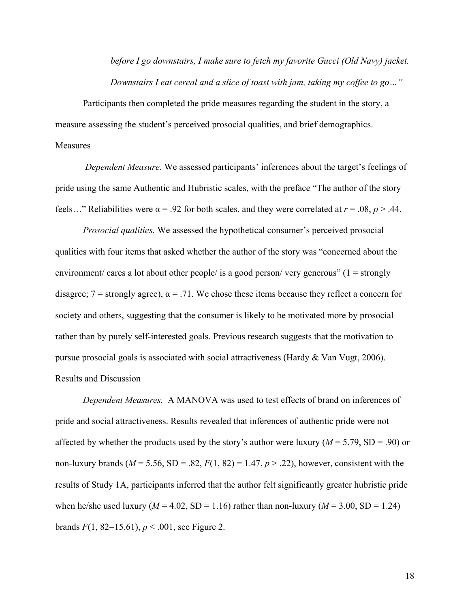*before I go downstairs, I make sure to fetch my favorite Gucci (Old Navy) jacket. Downstairs I eat cereal and a slice of toast with jam, taking my coffee to go…"* 

Participants then completed the pride measures regarding the student in the story, a measure assessing the student's perceived prosocial qualities, and brief demographics.

# Measures

*Dependent Measure.* We assessed participants' inferences about the target's feelings of pride using the same Authentic and Hubristic scales, with the preface "The author of the story feels..." Reliabilities were  $\alpha$  = .92 for both scales, and they were correlated at  $r = .08$ ,  $p > .44$ .

*Prosocial qualities.* We assessed the hypothetical consumer's perceived prosocial qualities with four items that asked whether the author of the story was "concerned about the environment/ cares a lot about other people/ is a good person/ very generous" ( $1 =$  strongly disagree;  $7 =$  strongly agree),  $\alpha = .71$ . We chose these items because they reflect a concern for society and others, suggesting that the consumer is likely to be motivated more by prosocial rather than by purely self-interested goals. Previous research suggests that the motivation to pursue prosocial goals is associated with social attractiveness (Hardy & Van Vugt, 2006). Results and Discussion

*Dependent Measures.* A MANOVA was used to test effects of brand on inferences of pride and social attractiveness. Results revealed that inferences of authentic pride were not affected by whether the products used by the story's author were luxury  $(M = 5.79, SD = .90)$  or non-luxury brands ( $M = 5.56$ , SD = .82,  $F(1, 82) = 1.47$ ,  $p > .22$ ), however, consistent with the results of Study 1A, participants inferred that the author felt significantly greater hubristic pride when he/she used luxury ( $M = 4.02$ , SD = 1.16) rather than non-luxury ( $M = 3.00$ , SD = 1.24) brands  $F(1, 82=15.61)$ ,  $p < .001$ , see Figure 2.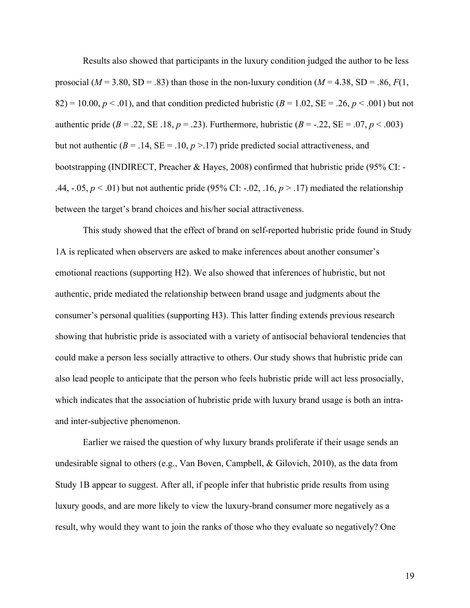Results also showed that participants in the luxury condition judged the author to be less prosocial ( $M = 3.80$ , SD = .83) than those in the non-luxury condition ( $M = 4.38$ , SD = .86,  $F(1)$ , 82) = 10.00,  $p < .01$ ), and that condition predicted hubristic ( $B = 1.02$ ,  $SE = .26$ ,  $p < .001$ ) but not authentic pride ( $B = .22$ , SE .18,  $p = .23$ ). Furthermore, hubristic ( $B = .22$ , SE = .07,  $p < .003$ ) but not authentic ( $B = .14$ ,  $SE = .10$ ,  $p > .17$ ) pride predicted social attractiveness, and bootstrapping (INDIRECT, Preacher & Hayes, 2008) confirmed that hubristic pride (95% CI: - .44, -.05, *p* < .01) but not authentic pride (95% CI: -.02, .16, *p* > .17) mediated the relationship between the target's brand choices and his/her social attractiveness.

This study showed that the effect of brand on self-reported hubristic pride found in Study 1A is replicated when observers are asked to make inferences about another consumer's emotional reactions (supporting H2). We also showed that inferences of hubristic, but not authentic, pride mediated the relationship between brand usage and judgments about the consumer's personal qualities (supporting H3). This latter finding extends previous research showing that hubristic pride is associated with a variety of antisocial behavioral tendencies that could make a person less socially attractive to others. Our study shows that hubristic pride can also lead people to anticipate that the person who feels hubristic pride will act less prosocially, which indicates that the association of hubristic pride with luxury brand usage is both an intraand inter-subjective phenomenon.

Earlier we raised the question of why luxury brands proliferate if their usage sends an undesirable signal to others (e.g., Van Boven, Campbell, & Gilovich, 2010), as the data from Study 1B appear to suggest. After all, if people infer that hubristic pride results from using luxury goods, and are more likely to view the luxury-brand consumer more negatively as a result, why would they want to join the ranks of those who they evaluate so negatively? One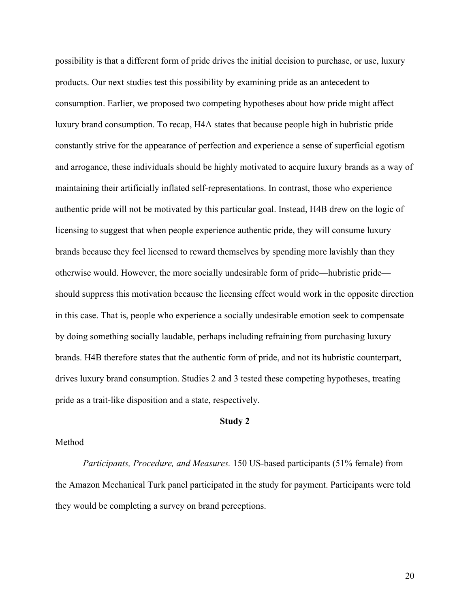possibility is that a different form of pride drives the initial decision to purchase, or use, luxury products. Our next studies test this possibility by examining pride as an antecedent to consumption. Earlier, we proposed two competing hypotheses about how pride might affect luxury brand consumption. To recap, H4A states that because people high in hubristic pride constantly strive for the appearance of perfection and experience a sense of superficial egotism and arrogance, these individuals should be highly motivated to acquire luxury brands as a way of maintaining their artificially inflated self-representations. In contrast, those who experience authentic pride will not be motivated by this particular goal. Instead, H4B drew on the logic of licensing to suggest that when people experience authentic pride, they will consume luxury brands because they feel licensed to reward themselves by spending more lavishly than they otherwise would. However, the more socially undesirable form of pride—hubristic pride should suppress this motivation because the licensing effect would work in the opposite direction in this case. That is, people who experience a socially undesirable emotion seek to compensate by doing something socially laudable, perhaps including refraining from purchasing luxury brands. H4B therefore states that the authentic form of pride, and not its hubristic counterpart, drives luxury brand consumption. Studies 2 and 3 tested these competing hypotheses, treating pride as a trait-like disposition and a state, respectively.

# **Study 2**

# Method

*Participants, Procedure, and Measures.* 150 US-based participants (51% female) from the Amazon Mechanical Turk panel participated in the study for payment. Participants were told they would be completing a survey on brand perceptions.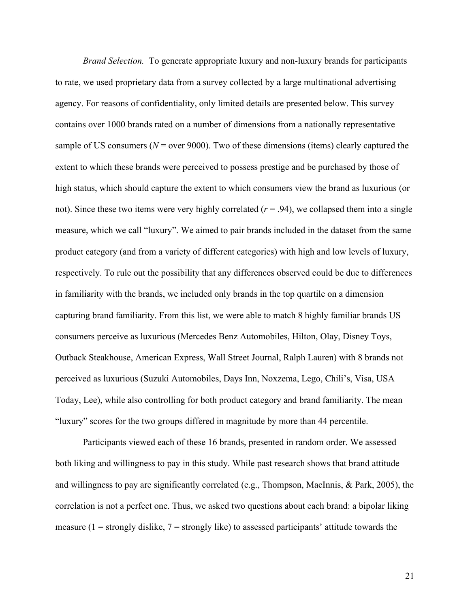*Brand Selection.* To generate appropriate luxury and non-luxury brands for participants to rate, we used proprietary data from a survey collected by a large multinational advertising agency. For reasons of confidentiality, only limited details are presented below. This survey contains over 1000 brands rated on a number of dimensions from a nationally representative sample of US consumers ( $N =$  over 9000). Two of these dimensions (items) clearly captured the extent to which these brands were perceived to possess prestige and be purchased by those of high status, which should capture the extent to which consumers view the brand as luxurious (or not). Since these two items were very highly correlated  $(r = .94)$ , we collapsed them into a single measure, which we call "luxury". We aimed to pair brands included in the dataset from the same product category (and from a variety of different categories) with high and low levels of luxury, respectively. To rule out the possibility that any differences observed could be due to differences in familiarity with the brands, we included only brands in the top quartile on a dimension capturing brand familiarity. From this list, we were able to match 8 highly familiar brands US consumers perceive as luxurious (Mercedes Benz Automobiles, Hilton, Olay, Disney Toys, Outback Steakhouse, American Express, Wall Street Journal, Ralph Lauren) with 8 brands not perceived as luxurious (Suzuki Automobiles, Days Inn, Noxzema, Lego, Chili's, Visa, USA Today, Lee), while also controlling for both product category and brand familiarity. The mean "luxury" scores for the two groups differed in magnitude by more than 44 percentile.

Participants viewed each of these 16 brands, presented in random order. We assessed both liking and willingness to pay in this study. While past research shows that brand attitude and willingness to pay are significantly correlated (e.g., Thompson, MacInnis, & Park, 2005), the correlation is not a perfect one. Thus, we asked two questions about each brand: a bipolar liking measure ( $1 =$  strongly dislike,  $7 =$  strongly like) to assessed participants' attitude towards the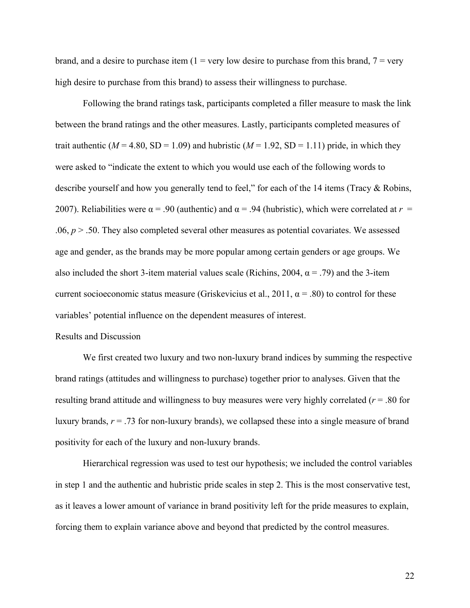brand, and a desire to purchase item  $(1 = \text{very low desire to purchase from this brand}, 7 = \text{very}$ high desire to purchase from this brand) to assess their willingness to purchase.

Following the brand ratings task, participants completed a filler measure to mask the link between the brand ratings and the other measures. Lastly, participants completed measures of trait authentic ( $M = 4.80$ , SD = 1.09) and hubristic ( $M = 1.92$ , SD = 1.11) pride, in which they were asked to "indicate the extent to which you would use each of the following words to describe yourself and how you generally tend to feel," for each of the 14 items (Tracy & Robins, 2007). Reliabilities were  $\alpha$  = .90 (authentic) and  $\alpha$  = .94 (hubristic), which were correlated at  $r =$ .06,  $p > 0.50$ . They also completed several other measures as potential covariates. We assessed age and gender, as the brands may be more popular among certain genders or age groups. We also included the short 3-item material values scale (Richins, 2004,  $\alpha$  = .79) and the 3-item current socioeconomic status measure (Griskevicius et al., 2011,  $\alpha$  = .80) to control for these variables' potential influence on the dependent measures of interest.

# Results and Discussion

We first created two luxury and two non-luxury brand indices by summing the respective brand ratings (attitudes and willingness to purchase) together prior to analyses. Given that the resulting brand attitude and willingness to buy measures were very highly correlated (*r* = .80 for luxury brands,  $r = .73$  for non-luxury brands), we collapsed these into a single measure of brand positivity for each of the luxury and non-luxury brands.

Hierarchical regression was used to test our hypothesis; we included the control variables in step 1 and the authentic and hubristic pride scales in step 2. This is the most conservative test, as it leaves a lower amount of variance in brand positivity left for the pride measures to explain, forcing them to explain variance above and beyond that predicted by the control measures.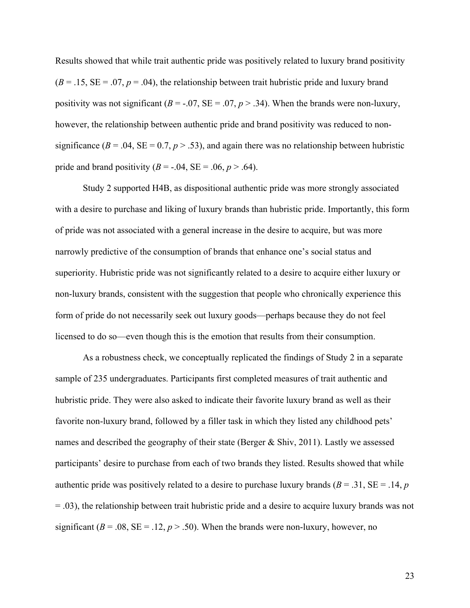Results showed that while trait authentic pride was positively related to luxury brand positivity  $(B = .15, SE = .07, p = .04)$ , the relationship between trait hubristic pride and luxury brand positivity was not significant ( $B = -0.07$ ,  $SE = 0.07$ ,  $p > 0.34$ ). When the brands were non-luxury, however, the relationship between authentic pride and brand positivity was reduced to nonsignificance ( $B = .04$ ,  $SE = 0.7$ ,  $p > .53$ ), and again there was no relationship between hubristic pride and brand positivity  $(B = -.04, SE = .06, p > .64)$ .

Study 2 supported H4B, as dispositional authentic pride was more strongly associated with a desire to purchase and liking of luxury brands than hubristic pride. Importantly, this form of pride was not associated with a general increase in the desire to acquire, but was more narrowly predictive of the consumption of brands that enhance one's social status and superiority. Hubristic pride was not significantly related to a desire to acquire either luxury or non-luxury brands, consistent with the suggestion that people who chronically experience this form of pride do not necessarily seek out luxury goods—perhaps because they do not feel licensed to do so—even though this is the emotion that results from their consumption.

As a robustness check, we conceptually replicated the findings of Study 2 in a separate sample of 235 undergraduates. Participants first completed measures of trait authentic and hubristic pride. They were also asked to indicate their favorite luxury brand as well as their favorite non-luxury brand, followed by a filler task in which they listed any childhood pets' names and described the geography of their state (Berger & Shiv, 2011). Lastly we assessed participants' desire to purchase from each of two brands they listed. Results showed that while authentic pride was positively related to a desire to purchase luxury brands ( $B = .31$ ,  $SE = .14$ ,  $p$ = .03), the relationship between trait hubristic pride and a desire to acquire luxury brands was not significant ( $B = .08$ ,  $SE = .12$ ,  $p > .50$ ). When the brands were non-luxury, however, no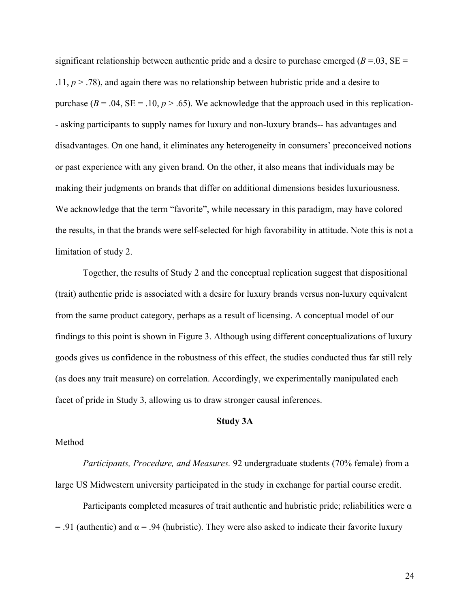significant relationship between authentic pride and a desire to purchase emerged ( $B = .03$ ,  $SE =$ .11,  $p > .78$ ), and again there was no relationship between hubristic pride and a desire to purchase ( $B = .04$ ,  $SE = .10$ ,  $p > .65$ ). We acknowledge that the approach used in this replication-- asking participants to supply names for luxury and non-luxury brands-- has advantages and disadvantages. On one hand, it eliminates any heterogeneity in consumers' preconceived notions or past experience with any given brand. On the other, it also means that individuals may be making their judgments on brands that differ on additional dimensions besides luxuriousness. We acknowledge that the term "favorite", while necessary in this paradigm, may have colored the results, in that the brands were self-selected for high favorability in attitude. Note this is not a limitation of study 2.

Together, the results of Study 2 and the conceptual replication suggest that dispositional (trait) authentic pride is associated with a desire for luxury brands versus non-luxury equivalent from the same product category, perhaps as a result of licensing. A conceptual model of our findings to this point is shown in Figure 3. Although using different conceptualizations of luxury goods gives us confidence in the robustness of this effect, the studies conducted thus far still rely (as does any trait measure) on correlation. Accordingly, we experimentally manipulated each facet of pride in Study 3, allowing us to draw stronger causal inferences.

# **Study 3A**

#### Method

*Participants, Procedure, and Measures.* 92 undergraduate students (70% female) from a large US Midwestern university participated in the study in exchange for partial course credit.

Participants completed measures of trait authentic and hubristic pride; reliabilities were  $\alpha$  $= .91$  (authentic) and  $\alpha = .94$  (hubristic). They were also asked to indicate their favorite luxury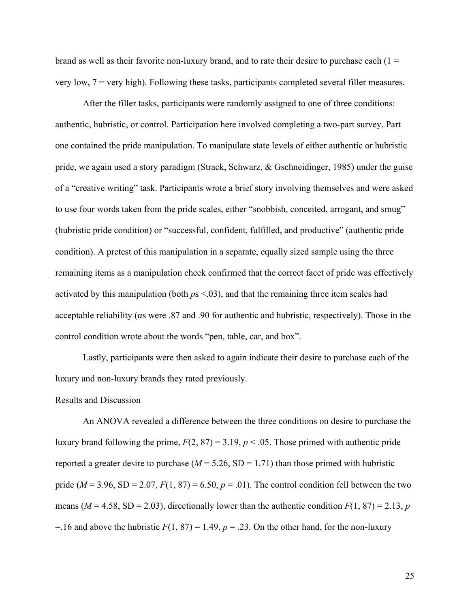brand as well as their favorite non-luxury brand, and to rate their desire to purchase each  $(1 =$ very low, 7 = very high). Following these tasks, participants completed several filler measures.

After the filler tasks, participants were randomly assigned to one of three conditions: authentic, hubristic, or control. Participation here involved completing a two-part survey. Part one contained the pride manipulation. To manipulate state levels of either authentic or hubristic pride, we again used a story paradigm (Strack, Schwarz, & Gschneidinger, 1985) under the guise of a "creative writing" task. Participants wrote a brief story involving themselves and were asked to use four words taken from the pride scales, either "snobbish, conceited, arrogant, and smug" (hubristic pride condition) or "successful, confident, fulfilled, and productive" (authentic pride condition). A pretest of this manipulation in a separate, equally sized sample using the three remaining items as a manipulation check confirmed that the correct facet of pride was effectively activated by this manipulation (both  $p_s < .03$ ), and that the remaining three item scales had acceptable reliability (αs were .87 and .90 for authentic and hubristic, respectively). Those in the control condition wrote about the words "pen, table, car, and box".

Lastly, participants were then asked to again indicate their desire to purchase each of the luxury and non-luxury brands they rated previously.

#### Results and Discussion

An ANOVA revealed a difference between the three conditions on desire to purchase the luxury brand following the prime,  $F(2, 87) = 3.19$ ,  $p < .05$ . Those primed with authentic pride reported a greater desire to purchase  $(M = 5.26, SD = 1.71)$  than those primed with hubristic pride ( $M = 3.96$ , SD = 2.07,  $F(1, 87) = 6.50$ ,  $p = .01$ ). The control condition fell between the two means ( $M = 4.58$ , SD = 2.03), directionally lower than the authentic condition  $F(1, 87) = 2.13$ , *p* =.16 and above the hubristic  $F(1, 87) = 1.49$ ,  $p = .23$ . On the other hand, for the non-luxury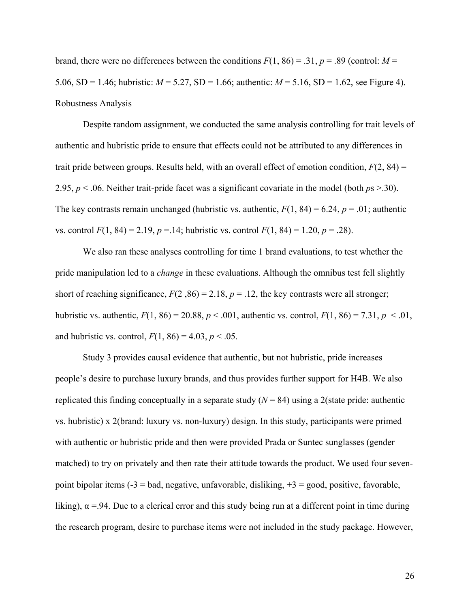brand, there were no differences between the conditions  $F(1, 86) = .31$ ,  $p = .89$  (control:  $M =$ 5.06, SD = 1.46; hubristic:  $M = 5.27$ , SD = 1.66; authentic:  $M = 5.16$ , SD = 1.62, see Figure 4). Robustness Analysis

Despite random assignment, we conducted the same analysis controlling for trait levels of authentic and hubristic pride to ensure that effects could not be attributed to any differences in trait pride between groups. Results held, with an overall effect of emotion condition,  $F(2, 84) =$ 2.95, *p* < .06. Neither trait-pride facet was a significant covariate in the model (both *p*s >.30). The key contrasts remain unchanged (hubristic vs. authentic,  $F(1, 84) = 6.24$ ,  $p = .01$ ; authentic vs. control  $F(1, 84) = 2.19$ ,  $p = 14$ ; hubristic vs. control  $F(1, 84) = 1.20$ ,  $p = .28$ ).

We also ran these analyses controlling for time 1 brand evaluations, to test whether the pride manipulation led to a *change* in these evaluations. Although the omnibus test fell slightly short of reaching significance,  $F(2,86) = 2.18$ ,  $p = .12$ , the key contrasts were all stronger; hubristic vs. authentic,  $F(1, 86) = 20.88$ ,  $p < .001$ , authentic vs. control,  $F(1, 86) = 7.31$ ,  $p < .01$ , and hubristic vs. control,  $F(1, 86) = 4.03$ ,  $p < .05$ .

Study 3 provides causal evidence that authentic, but not hubristic, pride increases people's desire to purchase luxury brands, and thus provides further support for H4B. We also replicated this finding conceptually in a separate study  $(N = 84)$  using a 2(state pride: authentic vs. hubristic) x 2(brand: luxury vs. non-luxury) design. In this study, participants were primed with authentic or hubristic pride and then were provided Prada or Suntec sunglasses (gender matched) to try on privately and then rate their attitude towards the product. We used four sevenpoint bipolar items  $(-3 = bad, negative, unfavorable, disliking, +3 = good, positive, favorable,$ liking),  $\alpha$  =.94. Due to a clerical error and this study being run at a different point in time during the research program, desire to purchase items were not included in the study package. However,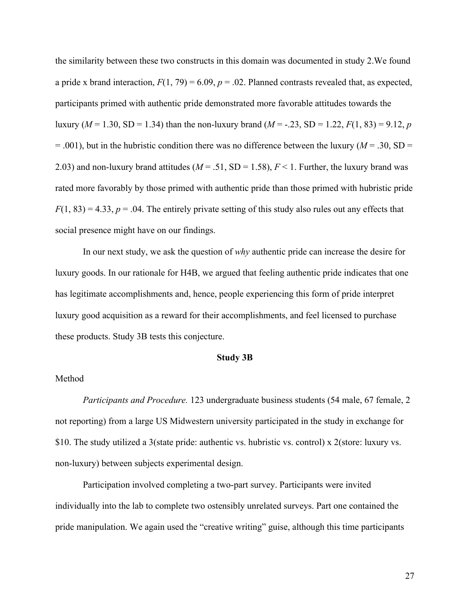the similarity between these two constructs in this domain was documented in study 2.We found a pride x brand interaction,  $F(1, 79) = 6.09$ ,  $p = .02$ . Planned contrasts revealed that, as expected, participants primed with authentic pride demonstrated more favorable attitudes towards the luxury ( $M = 1.30$ , SD = 1.34) than the non-luxury brand ( $M = -0.23$ , SD = 1.22,  $F(1, 83) = 9.12$ , *p*  $= .001$ ), but in the hubristic condition there was no difference between the luxury ( $M = .30$ , SD = 2.03) and non-luxury brand attitudes ( $M = .51$ , SD = 1.58),  $F < 1$ . Further, the luxury brand was rated more favorably by those primed with authentic pride than those primed with hubristic pride  $F(1, 83) = 4.33$ ,  $p = .04$ . The entirely private setting of this study also rules out any effects that social presence might have on our findings.

In our next study, we ask the question of *why* authentic pride can increase the desire for luxury goods. In our rationale for H4B, we argued that feeling authentic pride indicates that one has legitimate accomplishments and, hence, people experiencing this form of pride interpret luxury good acquisition as a reward for their accomplishments, and feel licensed to purchase these products. Study 3B tests this conjecture.

# **Study 3B**

# Method

*Participants and Procedure.* 123 undergraduate business students (54 male, 67 female, 2 not reporting) from a large US Midwestern university participated in the study in exchange for \$10. The study utilized a 3(state pride: authentic vs. hubristic vs. control) x 2(store: luxury vs. non-luxury) between subjects experimental design.

Participation involved completing a two-part survey. Participants were invited individually into the lab to complete two ostensibly unrelated surveys. Part one contained the pride manipulation. We again used the "creative writing" guise, although this time participants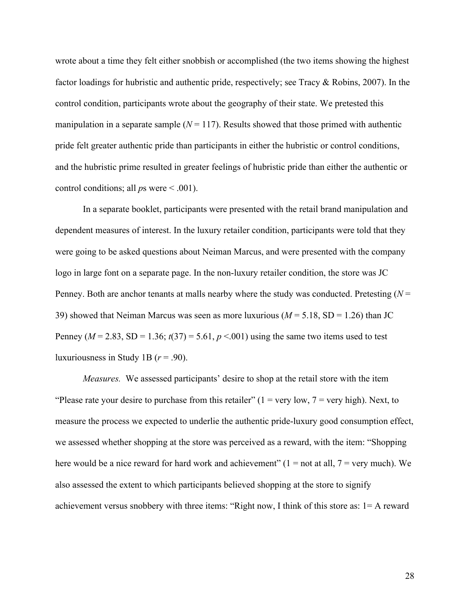wrote about a time they felt either snobbish or accomplished (the two items showing the highest factor loadings for hubristic and authentic pride, respectively; see Tracy & Robins, 2007). In the control condition, participants wrote about the geography of their state. We pretested this manipulation in a separate sample  $(N = 117)$ . Results showed that those primed with authentic pride felt greater authentic pride than participants in either the hubristic or control conditions, and the hubristic prime resulted in greater feelings of hubristic pride than either the authentic or control conditions; all  $p_s$  were  $\leq 0.001$ ).

In a separate booklet, participants were presented with the retail brand manipulation and dependent measures of interest. In the luxury retailer condition, participants were told that they were going to be asked questions about Neiman Marcus, and were presented with the company logo in large font on a separate page. In the non-luxury retailer condition, the store was JC Penney. Both are anchor tenants at malls nearby where the study was conducted. Pretesting (*N* = 39) showed that Neiman Marcus was seen as more luxurious (*M* = 5.18, SD = 1.26) than JC Penney ( $M = 2.83$ , SD = 1.36;  $t(37) = 5.61$ ,  $p < .001$ ) using the same two items used to test luxuriousness in Study 1B  $(r = .90)$ .

*Measures.* We assessed participants' desire to shop at the retail store with the item "Please rate your desire to purchase from this retailer"  $(1 = \text{very low}, 7 = \text{very high})$ . Next, to measure the process we expected to underlie the authentic pride-luxury good consumption effect, we assessed whether shopping at the store was perceived as a reward, with the item: "Shopping here would be a nice reward for hard work and achievement"  $(1 = not at all, 7 = very much)$ . We also assessed the extent to which participants believed shopping at the store to signify achievement versus snobbery with three items: "Right now, I think of this store as: 1= A reward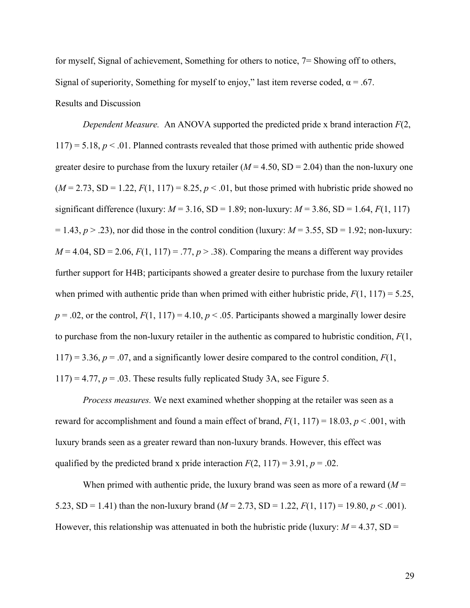for myself, Signal of achievement, Something for others to notice, 7= Showing off to others, Signal of superiority, Something for myself to enjoy," last item reverse coded,  $\alpha = .67$ . Results and Discussion

*Dependent Measure.* An ANOVA supported the predicted pride x brand interaction *F*(2,  $117$ ) = 5.18,  $p < 0.01$ . Planned contrasts revealed that those primed with authentic pride showed greater desire to purchase from the luxury retailer  $(M = 4.50, SD = 2.04)$  than the non-luxury one  $(M = 2.73, SD = 1.22, F(1, 117) = 8.25, p < .01$ , but those primed with hubristic pride showed no significant difference (luxury:  $M = 3.16$ , SD = 1.89; non-luxury:  $M = 3.86$ , SD = 1.64,  $F(1, 117)$  $= 1.43, p > .23$ ), nor did those in the control condition (luxury:  $M = 3.55$ , SD = 1.92; non-luxury:  $M = 4.04$ , SD = 2.06,  $F(1, 117) = .77$ ,  $p > .38$ ). Comparing the means a different way provides further support for H4B; participants showed a greater desire to purchase from the luxury retailer when primed with authentic pride than when primed with either hubristic pride,  $F(1, 117) = 5.25$ ,  $p = 0.02$ , or the control,  $F(1, 117) = 4.10$ ,  $p < 0.05$ . Participants showed a marginally lower desire to purchase from the non-luxury retailer in the authentic as compared to hubristic condition, *F*(1, 117) = 3.36,  $p = .07$ , and a significantly lower desire compared to the control condition,  $F(1)$ ,  $117$ ) = 4.77,  $p = 0.03$ . These results fully replicated Study 3A, see Figure 5.

*Process measures.* We next examined whether shopping at the retailer was seen as a reward for accomplishment and found a main effect of brand,  $F(1, 117) = 18.03$ ,  $p < .001$ , with luxury brands seen as a greater reward than non-luxury brands. However, this effect was qualified by the predicted brand x pride interaction  $F(2, 117) = 3.91$ ,  $p = .02$ .

When primed with authentic pride, the luxury brand was seen as more of a reward ( $M =$ 5.23, SD = 1.41) than the non-luxury brand ( $M = 2.73$ , SD = 1.22,  $F(1, 117) = 19.80, p < .001$ ). However, this relationship was attenuated in both the hubristic pride (luxury:  $M = 4.37$ , SD =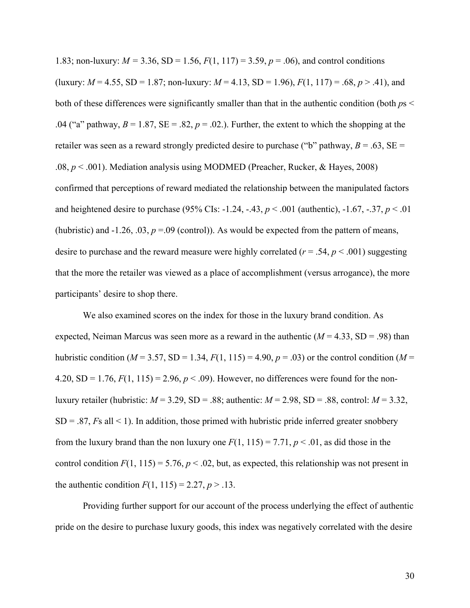1.83; non-luxury:  $M = 3.36$ , SD = 1.56,  $F(1, 117) = 3.59$ ,  $p = .06$ ), and control conditions (luxury:  $M = 4.55$ , SD = 1.87; non-luxury:  $M = 4.13$ , SD = 1.96),  $F(1, 117) = .68$ ,  $p > .41$ ), and both of these differences were significantly smaller than that in the authentic condition (both *p*s < .04 ("a" pathway,  $B = 1.87$ ,  $SE = .82$ ,  $p = .02$ .). Further, the extent to which the shopping at the retailer was seen as a reward strongly predicted desire to purchase ("b" pathway,  $B = .63$ ,  $SE =$ .08, *p* < .001). Mediation analysis using MODMED (Preacher, Rucker, & Hayes, 2008) confirmed that perceptions of reward mediated the relationship between the manipulated factors and heightened desire to purchase (95% CIs: -1.24, -.43, *p* < .001 (authentic), -1.67, -.37, *p* < .01 (hubristic) and  $-1.26$ ,  $.03$ ,  $p = .09$  (control)). As would be expected from the pattern of means, desire to purchase and the reward measure were highly correlated ( $r = .54$ ,  $p < .001$ ) suggesting that the more the retailer was viewed as a place of accomplishment (versus arrogance), the more participants' desire to shop there.

We also examined scores on the index for those in the luxury brand condition. As expected, Neiman Marcus was seen more as a reward in the authentic  $(M = 4.33, SD = .98)$  than hubristic condition ( $M = 3.57$ , SD = 1.34,  $F(1, 115) = 4.90$ ,  $p = .03$ ) or the control condition ( $M =$ 4.20, SD = 1.76,  $F(1, 115) = 2.96$ ,  $p < .09$ ). However, no differences were found for the nonluxury retailer (hubristic:  $M = 3.29$ , SD = .88; authentic:  $M = 2.98$ , SD = .88, control:  $M = 3.32$ ,  $SD = .87$ , *Fs all* < 1). In addition, those primed with hubristic pride inferred greater snobbery from the luxury brand than the non luxury one  $F(1, 115) = 7.71$ ,  $p < .01$ , as did those in the control condition  $F(1, 115) = 5.76$ ,  $p < .02$ , but, as expected, this relationship was not present in the authentic condition  $F(1, 115) = 2.27, p > .13$ .

Providing further support for our account of the process underlying the effect of authentic pride on the desire to purchase luxury goods, this index was negatively correlated with the desire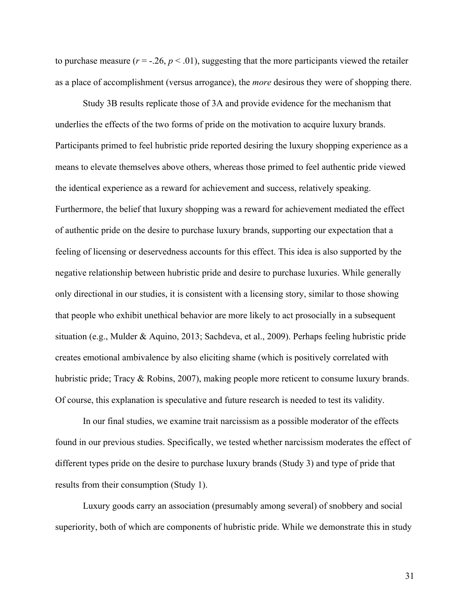to purchase measure  $(r = -0.26, p < 0.01)$ , suggesting that the more participants viewed the retailer as a place of accomplishment (versus arrogance), the *more* desirous they were of shopping there.

Study 3B results replicate those of 3A and provide evidence for the mechanism that underlies the effects of the two forms of pride on the motivation to acquire luxury brands. Participants primed to feel hubristic pride reported desiring the luxury shopping experience as a means to elevate themselves above others, whereas those primed to feel authentic pride viewed the identical experience as a reward for achievement and success, relatively speaking. Furthermore, the belief that luxury shopping was a reward for achievement mediated the effect of authentic pride on the desire to purchase luxury brands, supporting our expectation that a feeling of licensing or deservedness accounts for this effect. This idea is also supported by the negative relationship between hubristic pride and desire to purchase luxuries. While generally only directional in our studies, it is consistent with a licensing story, similar to those showing that people who exhibit unethical behavior are more likely to act prosocially in a subsequent situation (e.g., Mulder & Aquino, 2013; Sachdeva, et al., 2009). Perhaps feeling hubristic pride creates emotional ambivalence by also eliciting shame (which is positively correlated with hubristic pride; Tracy & Robins, 2007), making people more reticent to consume luxury brands. Of course, this explanation is speculative and future research is needed to test its validity.

In our final studies, we examine trait narcissism as a possible moderator of the effects found in our previous studies. Specifically, we tested whether narcissism moderates the effect of different types pride on the desire to purchase luxury brands (Study 3) and type of pride that results from their consumption (Study 1).

Luxury goods carry an association (presumably among several) of snobbery and social superiority, both of which are components of hubristic pride. While we demonstrate this in study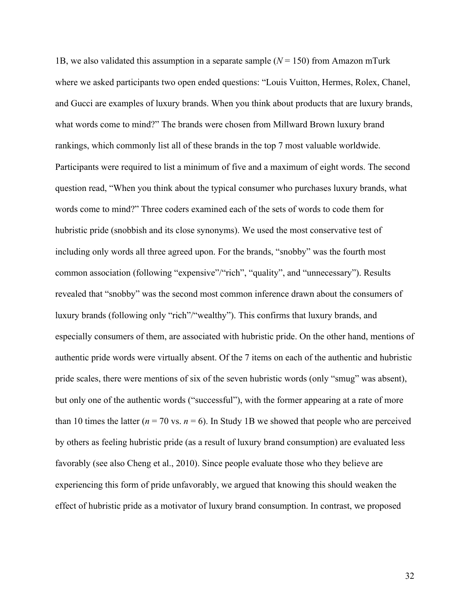1B, we also validated this assumption in a separate sample (*N* = 150) from Amazon mTurk where we asked participants two open ended questions: "Louis Vuitton, Hermes, Rolex, Chanel, and Gucci are examples of luxury brands. When you think about products that are luxury brands, what words come to mind?" The brands were chosen from Millward Brown luxury brand rankings, which commonly list all of these brands in the top 7 most valuable worldwide. Participants were required to list a minimum of five and a maximum of eight words. The second question read, "When you think about the typical consumer who purchases luxury brands, what words come to mind?" Three coders examined each of the sets of words to code them for hubristic pride (snobbish and its close synonyms). We used the most conservative test of including only words all three agreed upon. For the brands, "snobby" was the fourth most common association (following "expensive"/"rich", "quality", and "unnecessary"). Results revealed that "snobby" was the second most common inference drawn about the consumers of luxury brands (following only "rich"/"wealthy"). This confirms that luxury brands, and especially consumers of them, are associated with hubristic pride. On the other hand, mentions of authentic pride words were virtually absent. Of the 7 items on each of the authentic and hubristic pride scales, there were mentions of six of the seven hubristic words (only "smug" was absent), but only one of the authentic words ("successful"), with the former appearing at a rate of more than 10 times the latter ( $n = 70$  vs.  $n = 6$ ). In Study 1B we showed that people who are perceived by others as feeling hubristic pride (as a result of luxury brand consumption) are evaluated less favorably (see also Cheng et al., 2010). Since people evaluate those who they believe are experiencing this form of pride unfavorably, we argued that knowing this should weaken the effect of hubristic pride as a motivator of luxury brand consumption. In contrast, we proposed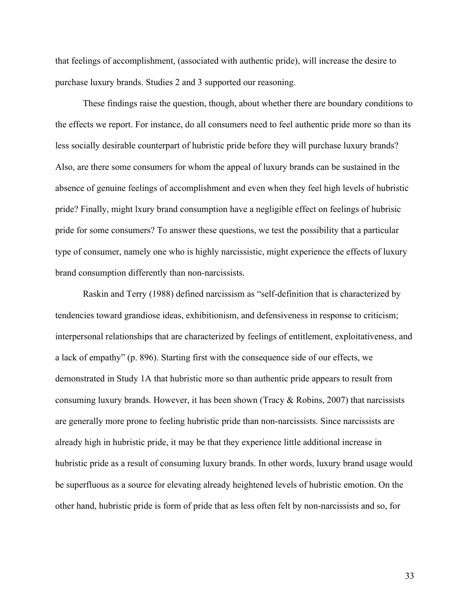that feelings of accomplishment, (associated with authentic pride), will increase the desire to purchase luxury brands. Studies 2 and 3 supported our reasoning.

These findings raise the question, though, about whether there are boundary conditions to the effects we report. For instance, do all consumers need to feel authentic pride more so than its less socially desirable counterpart of hubristic pride before they will purchase luxury brands? Also, are there some consumers for whom the appeal of luxury brands can be sustained in the absence of genuine feelings of accomplishment and even when they feel high levels of hubristic pride? Finally, might lxury brand consumption have a negligible effect on feelings of hubrisic pride for some consumers? To answer these questions, we test the possibility that a particular type of consumer, namely one who is highly narcissistic, might experience the effects of luxury brand consumption differently than non-narcissists.

Raskin and Terry (1988) defined narcissism as "self-definition that is characterized by tendencies toward grandiose ideas, exhibitionism, and defensiveness in response to criticism; interpersonal relationships that are characterized by feelings of entitlement, exploitativeness, and a lack of empathy" (p. 896). Starting first with the consequence side of our effects, we demonstrated in Study 1A that hubristic more so than authentic pride appears to result from consuming luxury brands. However, it has been shown (Tracy  $\&$  Robins, 2007) that narcissists are generally more prone to feeling hubristic pride than non-narcissists. Since narcissists are already high in hubristic pride, it may be that they experience little additional increase in hubristic pride as a result of consuming luxury brands. In other words, luxury brand usage would be superfluous as a source for elevating already heightened levels of hubristic emotion. On the other hand, hubristic pride is form of pride that as less often felt by non-narcissists and so, for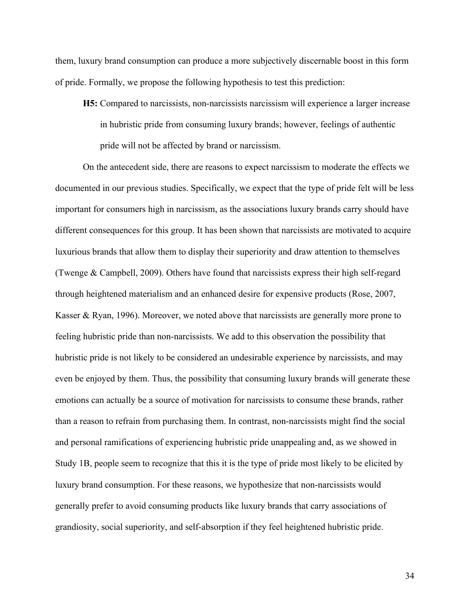them, luxury brand consumption can produce a more subjectively discernable boost in this form of pride. Formally, we propose the following hypothesis to test this prediction:

**H5:** Compared to narcissists, non-narcissists narcissism will experience a larger increase in hubristic pride from consuming luxury brands; however, feelings of authentic pride will not be affected by brand or narcissism.

On the antecedent side, there are reasons to expect narcissism to moderate the effects we documented in our previous studies. Specifically, we expect that the type of pride felt will be less important for consumers high in narcissism, as the associations luxury brands carry should have different consequences for this group. It has been shown that narcissists are motivated to acquire luxurious brands that allow them to display their superiority and draw attention to themselves (Twenge & Campbell, 2009). Others have found that narcissists express their high self-regard through heightened materialism and an enhanced desire for expensive products (Rose, 2007, Kasser & Ryan, 1996). Moreover, we noted above that narcissists are generally more prone to feeling hubristic pride than non-narcissists. We add to this observation the possibility that hubristic pride is not likely to be considered an undesirable experience by narcissists, and may even be enjoyed by them. Thus, the possibility that consuming luxury brands will generate these emotions can actually be a source of motivation for narcissists to consume these brands, rather than a reason to refrain from purchasing them. In contrast, non-narcissists might find the social and personal ramifications of experiencing hubristic pride unappealing and, as we showed in Study 1B, people seem to recognize that this it is the type of pride most likely to be elicited by luxury brand consumption. For these reasons, we hypothesize that non-narcissists would generally prefer to avoid consuming products like luxury brands that carry associations of grandiosity, social superiority, and self-absorption if they feel heightened hubristic pride.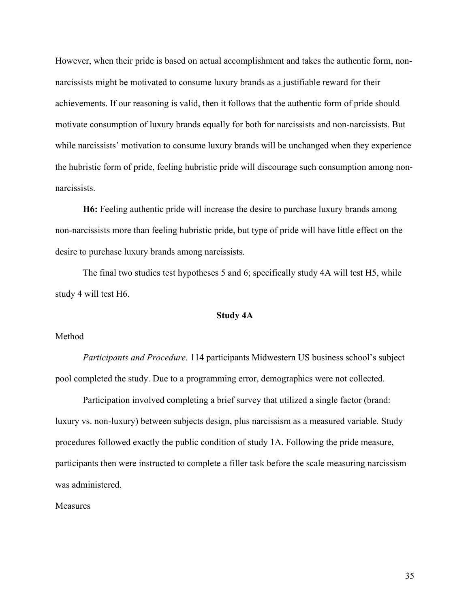However, when their pride is based on actual accomplishment and takes the authentic form, nonnarcissists might be motivated to consume luxury brands as a justifiable reward for their achievements. If our reasoning is valid, then it follows that the authentic form of pride should motivate consumption of luxury brands equally for both for narcissists and non-narcissists. But while narcissists' motivation to consume luxury brands will be unchanged when they experience the hubristic form of pride, feeling hubristic pride will discourage such consumption among nonnarcissists.

**H6:** Feeling authentic pride will increase the desire to purchase luxury brands among non-narcissists more than feeling hubristic pride, but type of pride will have little effect on the desire to purchase luxury brands among narcissists.

The final two studies test hypotheses 5 and 6; specifically study 4A will test H5, while study 4 will test H6.

#### **Study 4A**

#### Method

*Participants and Procedure.* 114 participants Midwestern US business school's subject pool completed the study. Due to a programming error, demographics were not collected.

Participation involved completing a brief survey that utilized a single factor (brand: luxury vs. non-luxury) between subjects design, plus narcissism as a measured variable*.* Study procedures followed exactly the public condition of study 1A. Following the pride measure, participants then were instructed to complete a filler task before the scale measuring narcissism was administered.

#### Measures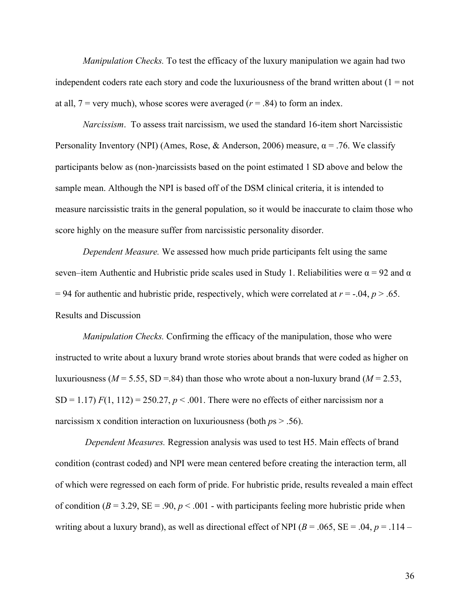*Manipulation Checks.* To test the efficacy of the luxury manipulation we again had two independent coders rate each story and code the luxuriousness of the brand written about  $(1 = not$ at all,  $7 =$  very much), whose scores were averaged ( $r = .84$ ) to form an index.

*Narcissism*. To assess trait narcissism, we used the standard 16-item short Narcissistic Personality Inventory (NPI) (Ames, Rose, & Anderson, 2006) measure,  $\alpha$  = .76. We classify participants below as (non-)narcissists based on the point estimated 1 SD above and below the sample mean. Although the NPI is based off of the DSM clinical criteria, it is intended to measure narcissistic traits in the general population, so it would be inaccurate to claim those who score highly on the measure suffer from narcissistic personality disorder.

*Dependent Measure.* We assessed how much pride participants felt using the same seven–item Authentic and Hubristic pride scales used in Study 1. Reliabilities were  $\alpha = 92$  and  $\alpha$  $= 94$  for authentic and hubristic pride, respectively, which were correlated at  $r = -.04$ ,  $p > .65$ . Results and Discussion

*Manipulation Checks.* Confirming the efficacy of the manipulation, those who were instructed to write about a luxury brand wrote stories about brands that were coded as higher on luxuriousness ( $M = 5.55$ , SD = 84) than those who wrote about a non-luxury brand ( $M = 2.53$ ,  $SD = 1.17$   $F(1, 112) = 250.27$ ,  $p < .001$ . There were no effects of either narcissism nor a narcissism x condition interaction on luxuriousness (both *p*s  $> 0.56$ ).

*Dependent Measures.* Regression analysis was used to test H5. Main effects of brand condition (contrast coded) and NPI were mean centered before creating the interaction term, all of which were regressed on each form of pride. For hubristic pride, results revealed a main effect of condition ( $B = 3.29$ ,  $SE = .90$ ,  $p < .001$  - with participants feeling more hubristic pride when writing about a luxury brand), as well as directional effect of NPI ( $B = .065$ ,  $SE = .04$ ,  $p = .114 -$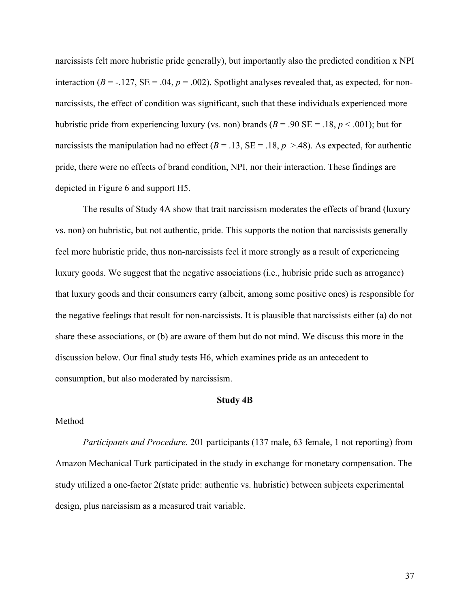narcissists felt more hubristic pride generally), but importantly also the predicted condition x NPI interaction ( $B = -127$ ,  $SE = .04$ ,  $p = .002$ ). Spotlight analyses revealed that, as expected, for nonnarcissists, the effect of condition was significant, such that these individuals experienced more hubristic pride from experiencing luxury (vs. non) brands  $(B = .90 \text{ SE} = .18, p < .001)$ ; but for narcissists the manipulation had no effect ( $B = .13$ ,  $SE = .18$ ,  $p > .48$ ). As expected, for authentic pride, there were no effects of brand condition, NPI, nor their interaction. These findings are depicted in Figure 6 and support H5.

The results of Study 4A show that trait narcissism moderates the effects of brand (luxury vs. non) on hubristic, but not authentic, pride. This supports the notion that narcissists generally feel more hubristic pride, thus non-narcissists feel it more strongly as a result of experiencing luxury goods. We suggest that the negative associations (i.e., hubrisic pride such as arrogance) that luxury goods and their consumers carry (albeit, among some positive ones) is responsible for the negative feelings that result for non-narcissists. It is plausible that narcissists either (a) do not share these associations, or (b) are aware of them but do not mind. We discuss this more in the discussion below. Our final study tests H6, which examines pride as an antecedent to consumption, but also moderated by narcissism.

## **Study 4B**

# Method

*Participants and Procedure.* 201 participants (137 male, 63 female, 1 not reporting) from Amazon Mechanical Turk participated in the study in exchange for monetary compensation. The study utilized a one-factor 2(state pride: authentic vs. hubristic) between subjects experimental design, plus narcissism as a measured trait variable.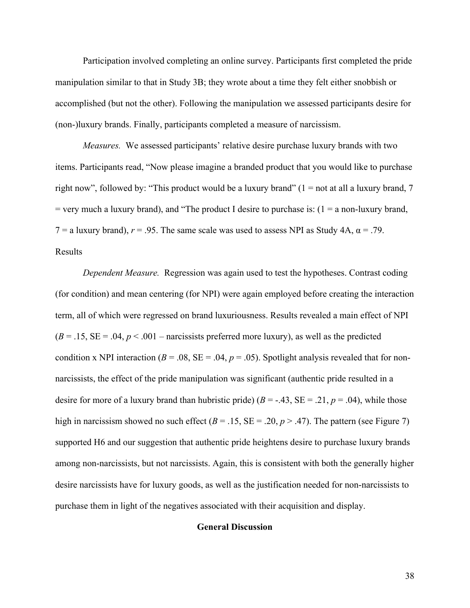Participation involved completing an online survey. Participants first completed the pride manipulation similar to that in Study 3B; they wrote about a time they felt either snobbish or accomplished (but not the other). Following the manipulation we assessed participants desire for (non-)luxury brands. Finally, participants completed a measure of narcissism.

*Measures.* We assessed participants' relative desire purchase luxury brands with two items. Participants read, "Now please imagine a branded product that you would like to purchase right now", followed by: "This product would be a luxury brand"  $(1 = not at all a luxury brand, 7)$  $=$  very much a luxury brand), and "The product I desire to purchase is: (1  $=$  a non-luxury brand,  $7 = a$  luxury brand),  $r = .95$ . The same scale was used to assess NPI as Study 4A,  $\alpha = .79$ . Results

*Dependent Measure.* Regression was again used to test the hypotheses. Contrast coding (for condition) and mean centering (for NPI) were again employed before creating the interaction term, all of which were regressed on brand luxuriousness. Results revealed a main effect of NPI  $(B = .15, SE = .04, p < .001$  – narcissists preferred more luxury), as well as the predicted condition x NPI interaction ( $B = .08$ ,  $SE = .04$ ,  $p = .05$ ). Spotlight analysis revealed that for nonnarcissists, the effect of the pride manipulation was significant (authentic pride resulted in a desire for more of a luxury brand than hubristic pride)  $(B = -0.43, SE = 0.21, p = 0.04)$ , while those high in narcissism showed no such effect ( $B = .15$ ,  $SE = .20$ ,  $p > .47$ ). The pattern (see Figure 7) supported H6 and our suggestion that authentic pride heightens desire to purchase luxury brands among non-narcissists, but not narcissists. Again, this is consistent with both the generally higher desire narcissists have for luxury goods, as well as the justification needed for non-narcissists to purchase them in light of the negatives associated with their acquisition and display.

# **General Discussion**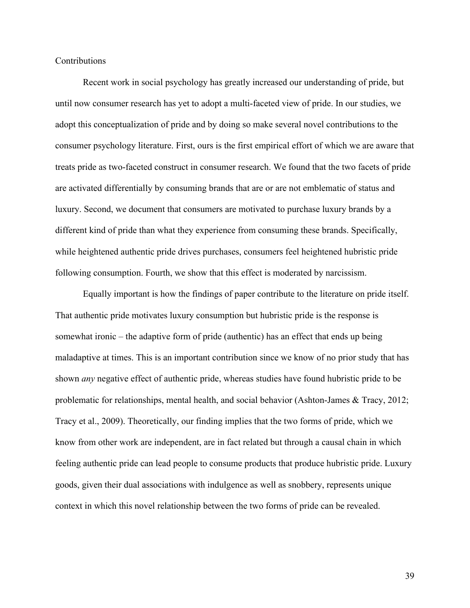## **Contributions**

Recent work in social psychology has greatly increased our understanding of pride, but until now consumer research has yet to adopt a multi-faceted view of pride. In our studies, we adopt this conceptualization of pride and by doing so make several novel contributions to the consumer psychology literature. First, ours is the first empirical effort of which we are aware that treats pride as two-faceted construct in consumer research. We found that the two facets of pride are activated differentially by consuming brands that are or are not emblematic of status and luxury. Second, we document that consumers are motivated to purchase luxury brands by a different kind of pride than what they experience from consuming these brands. Specifically, while heightened authentic pride drives purchases, consumers feel heightened hubristic pride following consumption. Fourth, we show that this effect is moderated by narcissism.

Equally important is how the findings of paper contribute to the literature on pride itself. That authentic pride motivates luxury consumption but hubristic pride is the response is somewhat ironic – the adaptive form of pride (authentic) has an effect that ends up being maladaptive at times. This is an important contribution since we know of no prior study that has shown *any* negative effect of authentic pride, whereas studies have found hubristic pride to be problematic for relationships, mental health, and social behavior (Ashton-James & Tracy, 2012; Tracy et al., 2009). Theoretically, our finding implies that the two forms of pride, which we know from other work are independent, are in fact related but through a causal chain in which feeling authentic pride can lead people to consume products that produce hubristic pride. Luxury goods, given their dual associations with indulgence as well as snobbery, represents unique context in which this novel relationship between the two forms of pride can be revealed.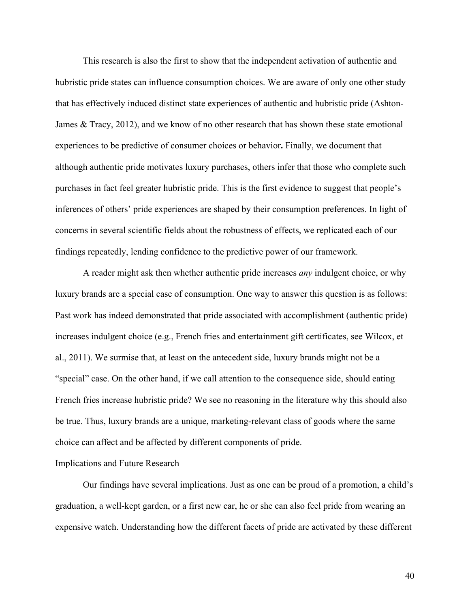This research is also the first to show that the independent activation of authentic and hubristic pride states can influence consumption choices. We are aware of only one other study that has effectively induced distinct state experiences of authentic and hubristic pride (Ashton-James & Tracy, 2012), and we know of no other research that has shown these state emotional experiences to be predictive of consumer choices or behavior**.** Finally, we document that although authentic pride motivates luxury purchases, others infer that those who complete such purchases in fact feel greater hubristic pride. This is the first evidence to suggest that people's inferences of others' pride experiences are shaped by their consumption preferences. In light of concerns in several scientific fields about the robustness of effects, we replicated each of our findings repeatedly, lending confidence to the predictive power of our framework.

A reader might ask then whether authentic pride increases *any* indulgent choice, or why luxury brands are a special case of consumption. One way to answer this question is as follows: Past work has indeed demonstrated that pride associated with accomplishment (authentic pride) increases indulgent choice (e.g., French fries and entertainment gift certificates, see Wilcox, et al., 2011). We surmise that, at least on the antecedent side, luxury brands might not be a "special" case. On the other hand, if we call attention to the consequence side, should eating French fries increase hubristic pride? We see no reasoning in the literature why this should also be true. Thus, luxury brands are a unique, marketing-relevant class of goods where the same choice can affect and be affected by different components of pride.

# Implications and Future Research

Our findings have several implications. Just as one can be proud of a promotion, a child's graduation, a well-kept garden, or a first new car, he or she can also feel pride from wearing an expensive watch. Understanding how the different facets of pride are activated by these different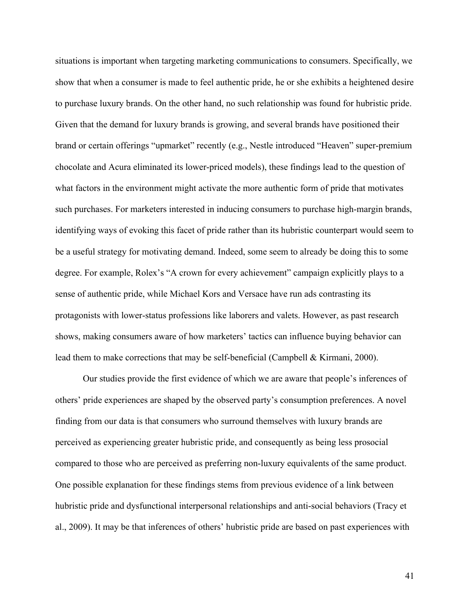situations is important when targeting marketing communications to consumers. Specifically, we show that when a consumer is made to feel authentic pride, he or she exhibits a heightened desire to purchase luxury brands. On the other hand, no such relationship was found for hubristic pride. Given that the demand for luxury brands is growing, and several brands have positioned their brand or certain offerings "upmarket" recently (e.g., Nestle introduced "Heaven" super-premium chocolate and Acura eliminated its lower-priced models), these findings lead to the question of what factors in the environment might activate the more authentic form of pride that motivates such purchases. For marketers interested in inducing consumers to purchase high-margin brands, identifying ways of evoking this facet of pride rather than its hubristic counterpart would seem to be a useful strategy for motivating demand. Indeed, some seem to already be doing this to some degree. For example, Rolex's "A crown for every achievement" campaign explicitly plays to a sense of authentic pride, while Michael Kors and Versace have run ads contrasting its protagonists with lower-status professions like laborers and valets. However, as past research shows, making consumers aware of how marketers' tactics can influence buying behavior can lead them to make corrections that may be self-beneficial (Campbell & Kirmani, 2000).

Our studies provide the first evidence of which we are aware that people's inferences of others' pride experiences are shaped by the observed party's consumption preferences. A novel finding from our data is that consumers who surround themselves with luxury brands are perceived as experiencing greater hubristic pride, and consequently as being less prosocial compared to those who are perceived as preferring non-luxury equivalents of the same product. One possible explanation for these findings stems from previous evidence of a link between hubristic pride and dysfunctional interpersonal relationships and anti-social behaviors (Tracy et al., 2009). It may be that inferences of others' hubristic pride are based on past experiences with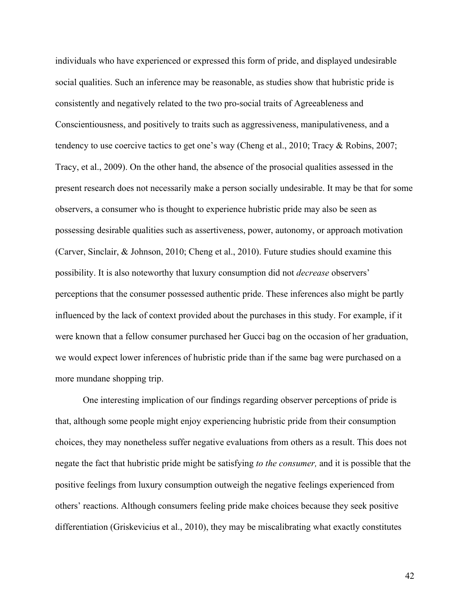individuals who have experienced or expressed this form of pride, and displayed undesirable social qualities. Such an inference may be reasonable, as studies show that hubristic pride is consistently and negatively related to the two pro-social traits of Agreeableness and Conscientiousness, and positively to traits such as aggressiveness, manipulativeness, and a tendency to use coercive tactics to get one's way (Cheng et al., 2010; Tracy & Robins, 2007; Tracy, et al., 2009). On the other hand, the absence of the prosocial qualities assessed in the present research does not necessarily make a person socially undesirable. It may be that for some observers, a consumer who is thought to experience hubristic pride may also be seen as possessing desirable qualities such as assertiveness, power, autonomy, or approach motivation (Carver, Sinclair, & Johnson, 2010; Cheng et al., 2010). Future studies should examine this possibility. It is also noteworthy that luxury consumption did not *decrease* observers' perceptions that the consumer possessed authentic pride. These inferences also might be partly influenced by the lack of context provided about the purchases in this study. For example, if it were known that a fellow consumer purchased her Gucci bag on the occasion of her graduation, we would expect lower inferences of hubristic pride than if the same bag were purchased on a more mundane shopping trip.

One interesting implication of our findings regarding observer perceptions of pride is that, although some people might enjoy experiencing hubristic pride from their consumption choices, they may nonetheless suffer negative evaluations from others as a result. This does not negate the fact that hubristic pride might be satisfying *to the consumer,* and it is possible that the positive feelings from luxury consumption outweigh the negative feelings experienced from others' reactions. Although consumers feeling pride make choices because they seek positive differentiation (Griskevicius et al., 2010), they may be miscalibrating what exactly constitutes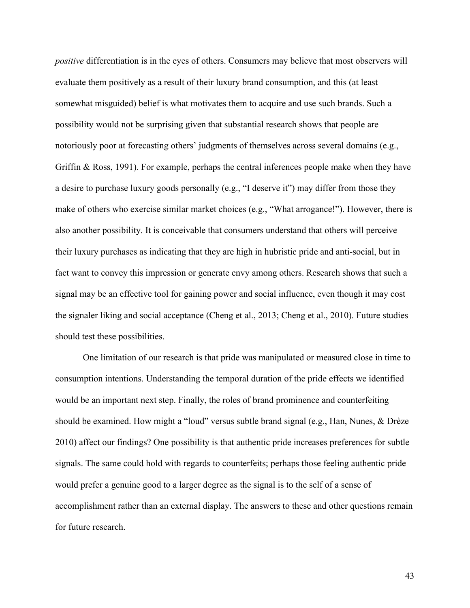*positive* differentiation is in the eyes of others. Consumers may believe that most observers will evaluate them positively as a result of their luxury brand consumption, and this (at least somewhat misguided) belief is what motivates them to acquire and use such brands. Such a possibility would not be surprising given that substantial research shows that people are notoriously poor at forecasting others' judgments of themselves across several domains (e.g., Griffin & Ross, 1991). For example, perhaps the central inferences people make when they have a desire to purchase luxury goods personally (e.g., "I deserve it") may differ from those they make of others who exercise similar market choices (e.g., "What arrogance!"). However, there is also another possibility. It is conceivable that consumers understand that others will perceive their luxury purchases as indicating that they are high in hubristic pride and anti-social, but in fact want to convey this impression or generate envy among others. Research shows that such a signal may be an effective tool for gaining power and social influence, even though it may cost the signaler liking and social acceptance (Cheng et al., 2013; Cheng et al., 2010). Future studies should test these possibilities.

One limitation of our research is that pride was manipulated or measured close in time to consumption intentions. Understanding the temporal duration of the pride effects we identified would be an important next step. Finally, the roles of brand prominence and counterfeiting should be examined. How might a "loud" versus subtle brand signal (e.g., Han, Nunes, & Drèze 2010) affect our findings? One possibility is that authentic pride increases preferences for subtle signals. The same could hold with regards to counterfeits; perhaps those feeling authentic pride would prefer a genuine good to a larger degree as the signal is to the self of a sense of accomplishment rather than an external display. The answers to these and other questions remain for future research.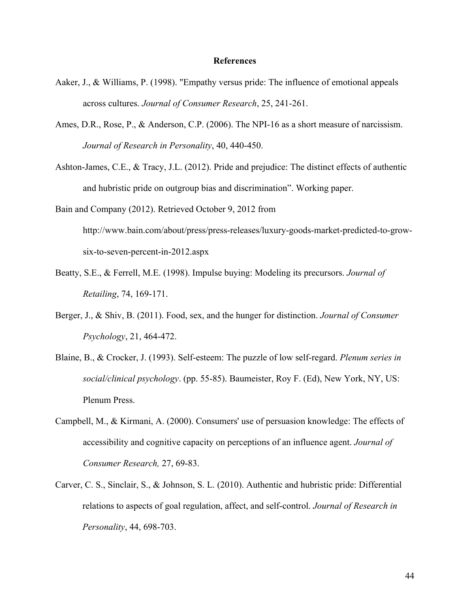#### **References**

- Aaker, J., & Williams, P. (1998). "Empathy versus pride: The influence of emotional appeals across cultures. *Journal of Consumer Research*, 25, 241-261.
- Ames, D.R., Rose, P., & Anderson, C.P. (2006). The NPI-16 as a short measure of narcissism. *Journal of Research in Personality*, 40, 440-450.
- Ashton-James, C.E., & Tracy, J.L. (2012). Pride and prejudice: The distinct effects of authentic and hubristic pride on outgroup bias and discrimination". Working paper.
- Bain and Company (2012). Retrieved October 9, 2012 from http://www.bain.com/about/press/press-releases/luxury-goods-market-predicted-to-growsix-to-seven-percent-in-2012.aspx
- Beatty, S.E., & Ferrell, M.E. (1998). Impulse buying: Modeling its precursors. *Journal of Retailing*, 74, 169-171.
- Berger, J., & Shiv, B. (2011). Food, sex, and the hunger for distinction. *Journal of Consumer Psychology*, 21, 464-472.
- Blaine, B., & Crocker, J. (1993). Self-esteem: The puzzle of low self-regard. *Plenum series in social/clinical psychology*. (pp. 55-85). Baumeister, Roy F. (Ed), New York, NY, US: Plenum Press.
- Campbell, M., & Kirmani, A. (2000). Consumers' use of persuasion knowledge: The effects of accessibility and cognitive capacity on perceptions of an influence agent. *Journal of Consumer Research,* 27, 69-83.
- Carver, C. S., Sinclair, S., & Johnson, S. L. (2010). Authentic and hubristic pride: Differential relations to aspects of goal regulation, affect, and self-control. *Journal of Research in Personality*, 44, 698-703.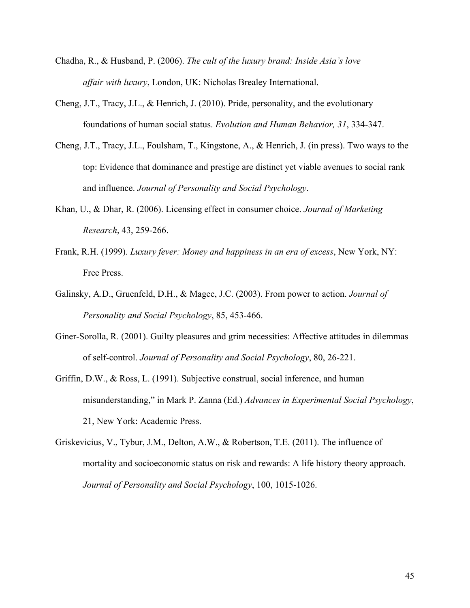- Chadha, R., & Husband, P. (2006). *The cult of the luxury brand: Inside Asia's love affair with luxury*, London, UK: Nicholas Brealey International.
- Cheng, J.T., Tracy, J.L., & Henrich, J. (2010). Pride, personality, and the evolutionary foundations of human social status. *Evolution and Human Behavior, 31*, 334-347.
- Cheng, J.T., Tracy, J.L., Foulsham, T., Kingstone, A., & Henrich, J. (in press). Two ways to the top: Evidence that dominance and prestige are distinct yet viable avenues to social rank and influence. *Journal of Personality and Social Psychology*.
- Khan, U., & Dhar, R. (2006). Licensing effect in consumer choice. *Journal of Marketing Research*, 43, 259-266.
- Frank, R.H. (1999). *Luxury fever: Money and happiness in an era of excess*, New York, NY: Free Press.
- Galinsky, A.D., Gruenfeld, D.H., & Magee, J.C. (2003). From power to action. *Journal of Personality and Social Psychology*, 85, 453-466.
- Giner-Sorolla, R. (2001). Guilty pleasures and grim necessities: Affective attitudes in dilemmas of self-control. *Journal of Personality and Social Psychology*, 80, 26-221.
- Griffin, D.W., & Ross, L. (1991). Subjective construal, social inference, and human misunderstanding," in Mark P. Zanna (Ed.) *Advances in Experimental Social Psychology*, 21, New York: Academic Press.
- Griskevicius, V., Tybur, J.M., Delton, A.W., & Robertson, T.E. (2011). The influence of mortality and socioeconomic status on risk and rewards: A life history theory approach. *Journal of Personality and Social Psychology*, 100, 1015-1026.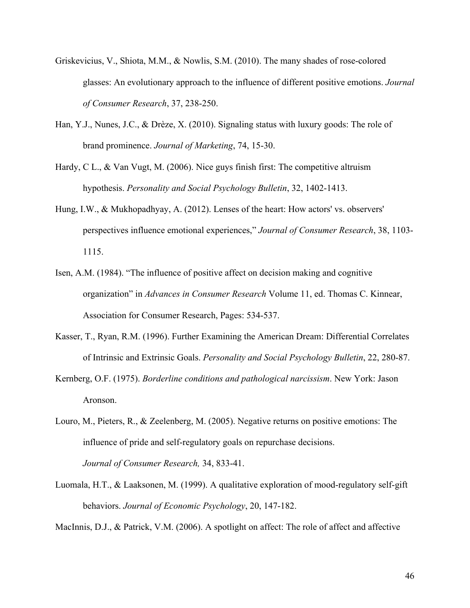- Griskevicius, V., Shiota, M.M., & Nowlis, S.M. (2010). The many shades of rose-colored glasses: An evolutionary approach to the influence of different positive emotions. *Journal of Consumer Research*, 37, 238-250.
- Han, Y.J., Nunes, J.C., & Drèze, X. (2010). Signaling status with luxury goods: The role of brand prominence. *Journal of Marketing*, 74, 15-30.
- Hardy, C L., & Van Vugt, M. (2006). Nice guys finish first: The competitive altruism hypothesis. *Personality and Social Psychology Bulletin*, 32, 1402-1413.
- Hung, I.W., & Mukhopadhyay, A. (2012). Lenses of the heart: How actors' vs. observers' perspectives influence emotional experiences," *Journal of Consumer Research*, 38, 1103- 1115.
- Isen, A.M. (1984). "The influence of positive affect on decision making and cognitive organization" in *Advances in Consumer Research* Volume 11, ed. Thomas C. Kinnear, Association for Consumer Research, Pages: 534-537.
- Kasser, T., Ryan, R.M. (1996). Further Examining the American Dream: Differential Correlates of Intrinsic and Extrinsic Goals. *Personality and Social Psychology Bulletin*, 22, 280-87.
- Kernberg, O.F. (1975). *Borderline conditions and pathological narcissism*. New York: Jason Aronson.
- Louro, M., Pieters, R., & Zeelenberg, M. (2005). Negative returns on positive emotions: The influence of pride and self-regulatory goals on repurchase decisions. *Journal of Consumer Research,* 34, 833-41.
- Luomala, H.T., & Laaksonen, M. (1999). A qualitative exploration of mood-regulatory self-gift behaviors. *Journal of Economic Psychology*, 20, 147-182.

MacInnis, D.J., & Patrick, V.M. (2006). A spotlight on affect: The role of affect and affective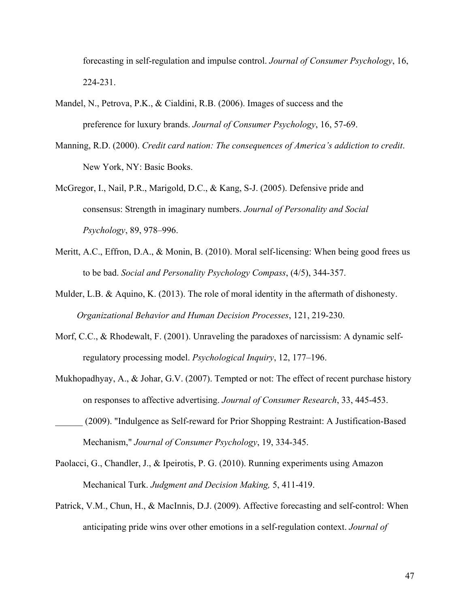forecasting in self-regulation and impulse control. *Journal of Consumer Psychology*, 16, 224-231.

- Mandel, N., Petrova, P.K., & Cialdini, R.B. (2006). Images of success and the preference for luxury brands. *Journal of Consumer Psychology*, 16, 57-69.
- Manning, R.D. (2000). *Credit card nation: The consequences of America's addiction to credit*. New York, NY: Basic Books.
- McGregor, I., Nail, P.R., Marigold, D.C., & Kang, S-J. (2005). Defensive pride and consensus: Strength in imaginary numbers. *Journal of Personality and Social Psychology*, 89, 978–996.
- Meritt, A.C., Effron, D.A., & Monin, B. (2010). Moral self-licensing: When being good frees us to be bad. *Social and Personality Psychology Compass*, (4/5), 344-357.
- Mulder, L.B. & Aquino, K. (2013). The role of moral identity in the aftermath of dishonesty. *Organizational Behavior and Human Decision Processes*, 121, 219-230.
- Morf, C.C., & Rhodewalt, F. (2001). Unraveling the paradoxes of narcissism: A dynamic selfregulatory processing model. *Psychological Inquiry*, 12, 177–196.
- Mukhopadhyay, A., & Johar, G.V. (2007). Tempted or not: The effect of recent purchase history on responses to affective advertising. *Journal of Consumer Research*, 33, 445-453.
- \_\_\_\_\_\_ (2009). "Indulgence as Self-reward for Prior Shopping Restraint: A Justification-Based Mechanism," *Journal of Consumer Psychology*, 19, 334-345.
- Paolacci, G., Chandler, J., & Ipeirotis, P. G. (2010). Running experiments using Amazon Mechanical Turk. *Judgment and Decision Making,* 5, 411-419.
- Patrick, V.M., Chun, H., & MacInnis, D.J. (2009). Affective forecasting and self-control: When anticipating pride wins over other emotions in a self-regulation context. *Journal of*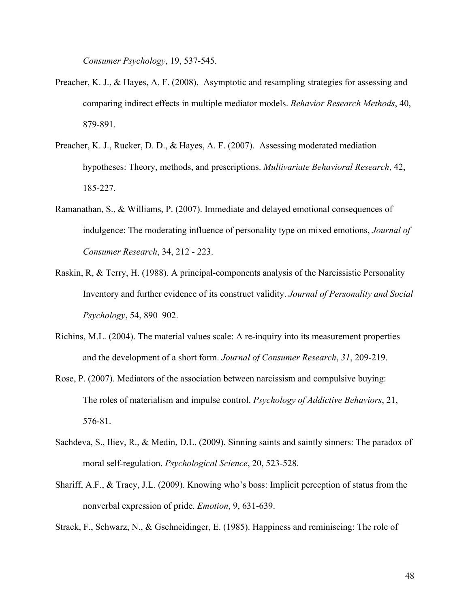*Consumer Psychology*, 19, 537-545.

- Preacher, K. J., & Hayes, A. F. (2008). Asymptotic and resampling strategies for assessing and comparing indirect effects in multiple mediator models. *Behavior Research Methods*, 40, 879-891.
- Preacher, K. J., Rucker, D. D., & Hayes, A. F. (2007). Assessing moderated mediation hypotheses: Theory, methods, and prescriptions. *Multivariate Behavioral Research*, 42, 185-227.
- Ramanathan, S., & Williams, P. (2007). Immediate and delayed emotional consequences of indulgence: The moderating influence of personality type on mixed emotions, *Journal of Consumer Research*, 34, 212 - 223.
- Raskin, R, & Terry, H. (1988). A principal-components analysis of the Narcissistic Personality Inventory and further evidence of its construct validity. *Journal of Personality and Social Psychology*, 54, 890–902.
- Richins, M.L. (2004). The material values scale: A re-inquiry into its measurement properties and the development of a short form. *Journal of Consumer Research*, *31*, 209-219.
- Rose, P. (2007). Mediators of the association between narcissism and compulsive buying: The roles of materialism and impulse control. *Psychology of Addictive Behaviors*, 21, 576-81.
- Sachdeva, S., Iliev, R., & Medin, D.L. (2009). Sinning saints and saintly sinners: The paradox of moral self-regulation. *Psychological Science*, 20, 523-528.
- Shariff, A.F., & Tracy, J.L. (2009). Knowing who's boss: Implicit perception of status from the nonverbal expression of pride. *Emotion*, 9, 631-639.

Strack, F., Schwarz, N., & Gschneidinger, E. (1985). Happiness and reminiscing: The role of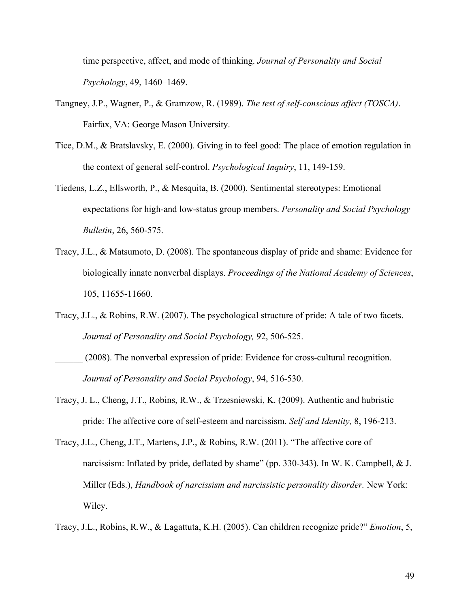time perspective, affect, and mode of thinking. *Journal of Personality and Social Psychology*, 49, 1460–1469.

- Tangney, J.P., Wagner, P., & Gramzow, R. (1989). *The test of self-conscious affect (TOSCA)*. Fairfax, VA: George Mason University.
- Tice, D.M., & Bratslavsky, E. (2000). Giving in to feel good: The place of emotion regulation in the context of general self-control. *Psychological Inquiry*, 11, 149-159.
- Tiedens, L.Z., Ellsworth, P., & Mesquita, B. (2000). Sentimental stereotypes: Emotional expectations for high-and low-status group members. *Personality and Social Psychology Bulletin*, 26, 560-575.
- Tracy, J.L., & Matsumoto, D. (2008). The spontaneous display of pride and shame: Evidence for biologically innate nonverbal displays. *Proceedings of the National Academy of Sciences*, 105, 11655-11660.
- Tracy, J.L., & Robins, R.W. (2007). The psychological structure of pride: A tale of two facets. *Journal of Personality and Social Psychology,* 92, 506-525.
- \_\_\_\_\_\_ (2008). The nonverbal expression of pride: Evidence for cross-cultural recognition. *Journal of Personality and Social Psychology*, 94, 516-530.
- Tracy, J. L., Cheng, J.T., Robins, R.W., & Trzesniewski, K. (2009). Authentic and hubristic pride: The affective core of self-esteem and narcissism. *Self and Identity,* 8, 196-213.
- Tracy, J.L., Cheng, J.T., Martens, J.P., & Robins, R.W. (2011). "The affective core of narcissism: Inflated by pride, deflated by shame" (pp. 330-343). In W. K. Campbell, & J. Miller (Eds.), *Handbook of narcissism and narcissistic personality disorder.* New York: Wiley.

Tracy, J.L., Robins, R.W., & Lagattuta, K.H. (2005). Can children recognize pride?" *Emotion*, 5,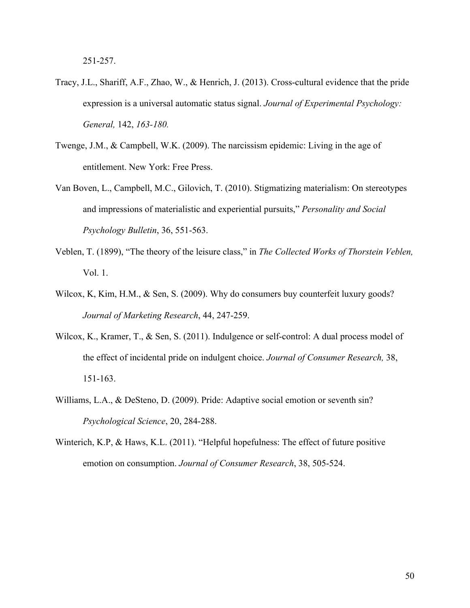251-257.

- Tracy, J.L., Shariff, A.F., Zhao, W., & Henrich, J. (2013). Cross-cultural evidence that the pride expression is a universal automatic status signal. *Journal of Experimental Psychology: General,* 142, *163-180.*
- Twenge, J.M., & Campbell, W.K. (2009). The narcissism epidemic: Living in the age of entitlement. New York: Free Press.
- Van Boven, L., Campbell, M.C., Gilovich, T. (2010). Stigmatizing materialism: On stereotypes and impressions of materialistic and experiential pursuits," *Personality and Social Psychology Bulletin*, 36, 551-563.
- Veblen, T. (1899), "The theory of the leisure class," in *The Collected Works of Thorstein Veblen,* Vol. 1.
- Wilcox, K, Kim, H.M., & Sen, S. (2009). Why do consumers buy counterfeit luxury goods? *Journal of Marketing Research*, 44, 247-259.
- Wilcox, K., Kramer, T., & Sen, S. (2011). Indulgence or self-control: A dual process model of the effect of incidental pride on indulgent choice. *Journal of Consumer Research,* 38, 151-163.
- Williams, L.A., & DeSteno, D. (2009). Pride: Adaptive social emotion or seventh sin? *Psychological Science*, 20, 284-288.
- Winterich, K.P, & Haws, K.L. (2011). "Helpful hopefulness: The effect of future positive emotion on consumption. *Journal of Consumer Research*, 38, 505-524.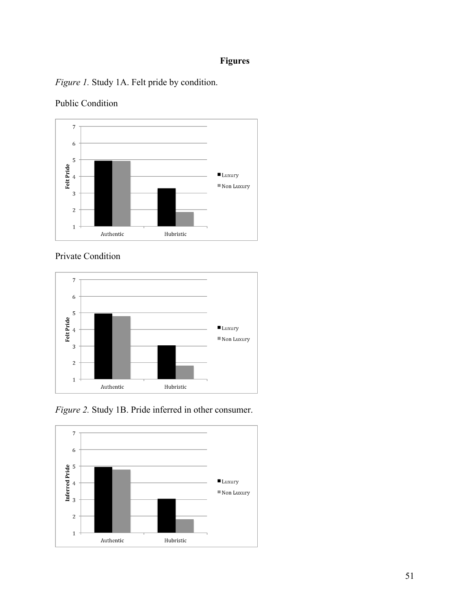# **Figures**

*Figure 1.* Study 1A. Felt pride by condition.



Public Condition

# Private Condition



*Figure 2.* Study 1B. Pride inferred in other consumer.

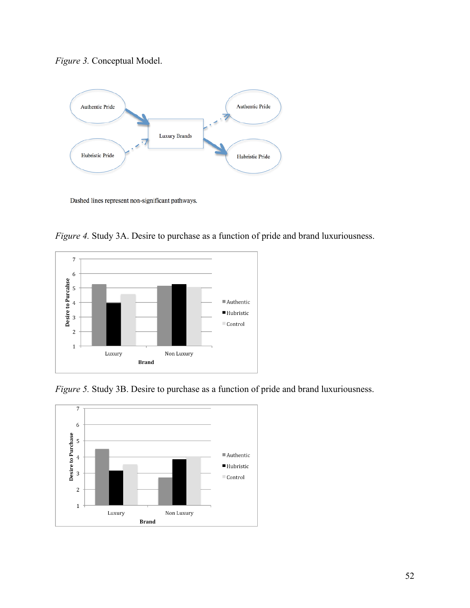



Dashed lines represent non-significant pathways.

*Figure 4.* Study 3A. Desire to purchase as a function of pride and brand luxuriousness.



*Figure 5.* Study 3B. Desire to purchase as a function of pride and brand luxuriousness.